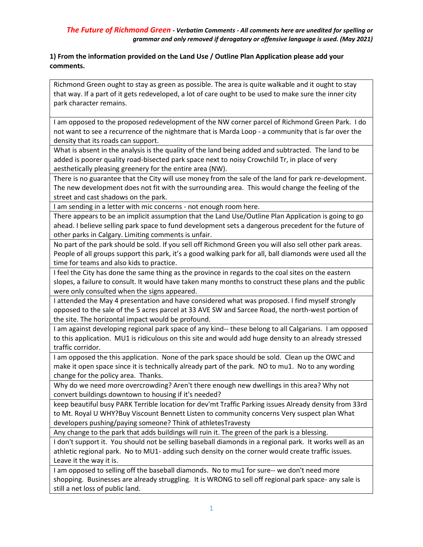#### **1) From the information provided on the Land Use / Outline Plan Application please add your comments.**

Richmond Green ought to stay as green as possible. The area is quite walkable and it ought to stay that way. If a part of it gets redeveloped, a lot of care ought to be used to make sure the inner city park character remains.

I am opposed to the proposed redevelopment of the NW corner parcel of Richmond Green Park. I do not want to see a recurrence of the nightmare that is Marda Loop - a community that is far over the density that its roads can support.

What is absent in the analysis is the quality of the land being added and subtracted. The land to be added is poorer quality road-bisected park space next to noisy Crowchild Tr, in place of very aesthetically pleasing greenery for the entire area (NW).

There is no guarantee that the City will use money from the sale of the land for park re-development. The new development does not fit with the surrounding area. This would change the feeling of the street and cast shadows on the park.

I am sending in a letter with mic concerns - not enough room here.

There appears to be an implicit assumption that the Land Use/Outline Plan Application is going to go ahead. I believe selling park space to fund development sets a dangerous precedent for the future of other parks in Calgary. Limiting comments is unfair.

No part of the park should be sold. If you sell off Richmond Green you will also sell other park areas. People of all groups support this park, it's a good walking park for all, ball diamonds were used all the time for teams and also kids to practice.

I feel the City has done the same thing as the province in regards to the coal sites on the eastern slopes, a failure to consult. It would have taken many months to construct these plans and the public were only consulted when the signs appeared.

I attended the May 4 presentation and have considered what was proposed. I find myself strongly opposed to the sale of the 5 acres parcel at 33 AVE SW and Sarcee Road, the north-west portion of the site. The horizontal impact would be profound.

I am against developing regional park space of any kind-- these belong to all Calgarians. I am opposed to this application. MU1 is ridiculous on this site and would add huge density to an already stressed traffic corridor.

I am opposed the this application. None of the park space should be sold. Clean up the OWC and make it open space since it is technically already part of the park. NO to mu1. No to any wording change for the policy area. Thanks.

Why do we need more overcrowding? Aren't there enough new dwellings in this area? Why not convert buildings downtown to housing if it's needed?

keep beautiful busy PARK Terrible location for dev'mt Traffic Parking issues Already density from 33rd to Mt. Royal U WHY?Buy Viscount Bennett Listen to community concerns Very suspect plan What developers pushing/paying someone? Think of athletesTravesty

Any change to the park that adds buildings will ruin it. The green of the park is a blessing.

I don't support it. You should not be selling baseball diamonds in a regional park. It works well as an athletic regional park. No to MU1- adding such density on the corner would create traffic issues. Leave it the way it is.

I am opposed to selling off the baseball diamonds. No to mu1 for sure-- we don't need more shopping. Businesses are already struggling. It is WRONG to sell off regional park space- any sale is still a net loss of public land.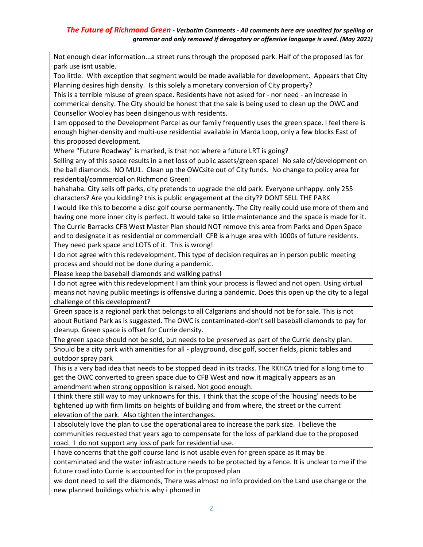Not enough clear information...a street runs through the proposed park. Half of the proposed las for park use isnt usable.

Too little. With exception that segment would be made available for development. Appears that City Planning desires high density. Is this solely a monetary conversion of City property?

This is a terrible misuse of green space. Residents have not asked for - nor need - an increase in commerical density. The City should be honest that the sale is being used to clean up the OWC and Counsellor Wooley has been disingenous with residents.

I am opposed to the Development Parcel as our family frequently uses the green space. I feel there is enough higher-density and multi-use residential available in Marda Loop, only a few blocks East of this proposed development.

Where "Future Roadway" is marked, is that not where a future LRT is going?

Selling any of this space results in a net loss of public assets/green space! No sale of/development on the ball diamonds. NO MU1. Clean up the OWCsite out of City funds. No change to policy area for residential/commercial on Richmond Green!

hahahaha. City sells off parks, city pretends to upgrade the old park. Everyone unhappy. only 255 characters? Are you kidding? this is public engagement at the city?? DONT SELL THE PARK

I would like this to become a disc golf course permanently. The City really could use more of them and having one more inner city is perfect. It would take so little maintenance and the space is made for it. The Currie Barracks CFB West Master Plan should NOT remove this area from Parks and Open Space and to designate it as residential or commercial! CFB is a huge area with 1000s of future residents. They need park space and LOTS of it. This is wrong!

I do not agree with this redevelopment. This type of decision requires an in person public meeting process and should not be done during a pandemic.

Please keep the baseball diamonds and walking paths!

I do not agree with this redevelopment I am think your process is flawed and not open. Using virtual means not having public meetings is offensive during a pandemic. Does this open up the city to a legal challenge of this development?

Green space is a regional park that belongs to all Calgarians and should not be for sale. This is not about Rutland Park as is suggested. The OWC is contaminated-don't sell baseball diamonds to pay for cleanup. Green space is offset for Currie density.

The green space should not be sold, but needs to be preserved as part of the Currie density plan.

Should be a city park with amenities for all - playground, disc golf, soccer fields, picnic tables and outdoor spray park

This is a very bad idea that needs to be stopped dead in its tracks. The RKHCA tried for a long time to get the OWC converted to green space due to CFB West and now it magically appears as an amendment when strong opposition is raised. Not good enough.

I think there still way to may unknowns for this. I think that the scope of the 'housing' needs to be tightened up with firm limits on heights of building and from where, the street or the current elevation of the park. Also tighten the interchanges.

I absolutely love the plan to use the operational area to increase the park size. I believe the communities requested that years ago to compensate for the loss of parkland due to the proposed road. I do not support any loss of park for residential use.

I have concerns that the golf course land is not usable even for green space as it may be contaminated and the water infrastructure needs to be protected by a fence. It is unclear to me if the future road into Currie is accounted for in the proposed plan

we dont need to sell the diamonds, There was almost no info provided on the Land use change or the new planned buildings which is why i phoned in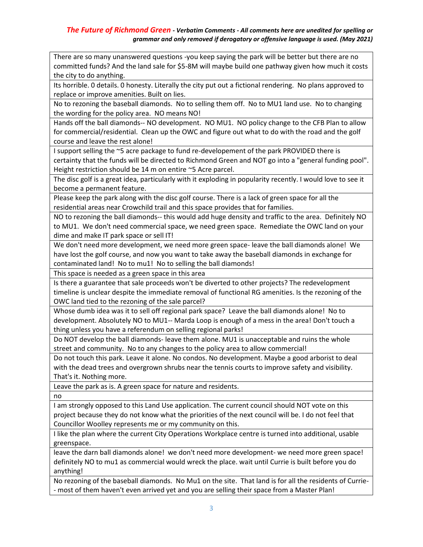There are so many unanswered questions -you keep saying the park will be better but there are no committed funds? And the land sale for \$5-8M will maybe build one pathway given how much it costs the city to do anything.

Its horrible. 0 details. 0 honesty. Literally the city put out a fictional rendering. No plans approved to replace or improve amenities. Built on lies.

No to rezoning the baseball diamonds. No to selling them off. No to MU1 land use. No to changing the wording for the policy area. NO means NO!

Hands off the ball diamonds-- NO development. NO MU1. NO policy change to the CFB Plan to allow for commercial/residential. Clean up the OWC and figure out what to do with the road and the golf course and leave the rest alone!

I support selling the ~5 acre package to fund re-developement of the park PROVIDED there is certainty that the funds will be directed to Richmond Green and NOT go into a "general funding pool". Height restriction should be 14 m on entire ~5 Acre parcel.

The disc golf is a great idea, particularly with it exploding in popularity recently. I would love to see it become a permanent feature.

Please keep the park along with the disc golf course. There is a lack of green space for all the residential areas near Crowchild trail and this space provides that for families.

NO to rezoning the ball diamonds-- this would add huge density and traffic to the area. Definitely NO to MU1. We don't need commercial space, we need green space. Remediate the OWC land on your dime and make IT park space or sell IT!

We don't need more development, we need more green space- leave the ball diamonds alone! We have lost the golf course, and now you want to take away the baseball diamonds in exchange for contaminated land! No to mu1! No to selling the ball diamonds!

This space is needed as a green space in this area

Is there a guarantee that sale proceeds won't be diverted to other projects? The redevelopment timeline is unclear despite the immediate removal of functional RG amenities. Is the rezoning of the OWC land tied to the rezoning of the sale parcel?

Whose dumb idea was it to sell off regional park space? Leave the ball diamonds alone! No to development. Absolutely NO to MU1-- Marda Loop is enough of a mess in the area! Don't touch a thing unless you have a referendum on selling regional parks!

Do NOT develop the ball diamonds- leave them alone. MU1 is unacceptable and ruins the whole street and community. No to any changes to the policy area to allow commercial!

Do not touch this park. Leave it alone. No condos. No development. Maybe a good arborist to deal with the dead trees and overgrown shrubs near the tennis courts to improve safety and visibility. That's it. Nothing more.

Leave the park as is. A green space for nature and residents.

no

I am strongly opposed to this Land Use application. The current council should NOT vote on this project because they do not know what the priorities of the next council will be. I do not feel that Councillor Woolley represents me or my community on this.

I like the plan where the current City Operations Workplace centre is turned into additional, usable greenspace.

leave the darn ball diamonds alone! we don't need more development- we need more green space! definitely NO to mu1 as commercial would wreck the place. wait until Currie is built before you do anything!

No rezoning of the baseball diamonds. No Mu1 on the site. That land is for all the residents of Currie- - most of them haven't even arrived yet and you are selling their space from a Master Plan!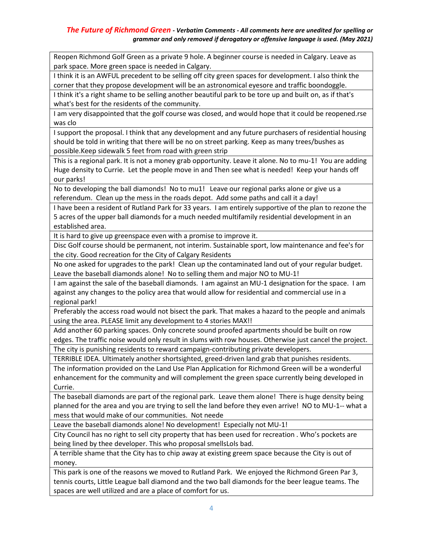Reopen Richmond Golf Green as a private 9 hole. A beginner course is needed in Calgary. Leave as park space. More green space is needed in Calgary.

I think it is an AWFUL precedent to be selling off city green spaces for development. I also think the corner that they propose development will be an astronomical eyesore and traffic boondoggle.

I think it's a right shame to be selling another beautiful park to be tore up and built on, as if that's what's best for the residents of the community.

I am very disappointed that the golf course was closed, and would hope that it could be reopened.rse was clo

I support the proposal. I think that any development and any future purchasers of residential housing should be told in writing that there will be no on street parking. Keep as many trees/bushes as possible.Keep sidewalk 5 feet from road with green strip

This is a regional park. It is not a money grab opportunity. Leave it alone. No to mu-1! You are adding Huge density to Currie. Let the people move in and Then see what is needed! Keep your hands off our parks!

No to developing the ball diamonds! No to mu1! Leave our regional parks alone or give us a referendum. Clean up the mess in the roads depot. Add some paths and call it a day!

I have been a resident of Rutland Park for 33 years. I am entirely supportive of the plan to rezone the 5 acres of the upper ball diamonds for a much needed multifamily residential development in an established area.

It is hard to give up greenspace even with a promise to improve it.

Disc Golf course should be permanent, not interim. Sustainable sport, low maintenance and fee's for the city. Good recreation for the City of Calgary Residents

No one asked for upgrades to the park! Clean up the contaminated land out of your regular budget. Leave the baseball diamonds alone! No to selling them and major NO to MU-1!

I am against the sale of the baseball diamonds. I am against an MU-1 designation for the space. I am against any changes to the policy area that would allow for residential and commercial use in a regional park!

Preferably the access road would not bisect the park. That makes a hazard to the people and animals using the area. PLEASE limit any development to 4 stories MAX!!

Add another 60 parking spaces. Only concrete sound proofed apartments should be built on row edges. The traffic noise would only result in slums with row houses. Otherwise just cancel the project.

The city is punishing residents to reward campaign-contributing private developers.

TERRIBLE IDEA. Ultimately another shortsighted, greed-driven land grab that punishes residents.

The information provided on the Land Use Plan Application for Richmond Green will be a wonderful enhancement for the community and will complement the green space currently being developed in Currie.

The baseball diamonds are part of the regional park. Leave them alone! There is huge density being planned for the area and you are trying to sell the land before they even arrive! NO to MU-1-- what a mess that would make of our communities. Not neede

Leave the baseball diamonds alone! No development! Especially not MU-1!

City Council has no right to sell city property that has been used for recreation . Who's pockets are being lined by thee developer. This who proposal smellsLols bad.

A terrible shame that the City has to chip away at existing greem space because the City is out of money.

This park is one of the reasons we moved to Rutland Park. We enjoyed the Richmond Green Par 3, tennis courts, Little League ball diamond and the two ball diamonds for the beer league teams. The spaces are well utilized and are a place of comfort for us.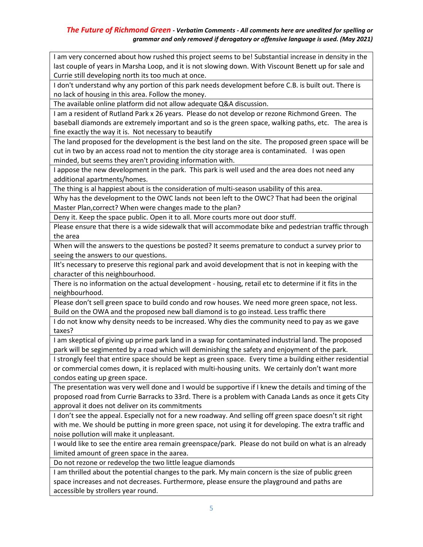I am very concerned about how rushed this project seems to be! Substantial increase in density in the last couple of years in Marsha Loop, and it is not slowing down. With Viscount Benett up for sale and Currie still developing north its too much at once.

I don't understand why any portion of this park needs development before C.B. is built out. There is no lack of housing in this area. Follow the money.

The available online platform did not allow adequate Q&A discussion.

I am a resident of Rutland Park x 26 years. Please do not develop or rezone Richmond Green. The baseball diamonds are extremely important and so is the green space, walking paths, etc. The area is fine exactly the way it is. Not necessary to beautify

The land proposed for the development is the best land on the site. The proposed green space will be cut in two by an access road not to mention the city storage area is contaminated. I was open minded, but seems they aren't providing information with.

I appose the new development in the park. This park is well used and the area does not need any additional apartments/homes.

The thing is al happiest about is the consideration of multi-season usability of this area.

Why has the development to the OWC lands not been left to the OWC? That had been the original Master Plan,correct? When were changes made to the plan?

Deny it. Keep the space public. Open it to all. More courts more out door stuff.

Please ensure that there is a wide sidewalk that will accommodate bike and pedestrian traffic through the area

When will the answers to the questions be posted? It seems premature to conduct a survey prior to seeing the answers to our questions.

IIt's necessary to preserve this regional park and avoid development that is not in keeping with the character of this neighbourhood.

There is no information on the actual development - housing, retail etc to determine if it fits in the neighbourhood.

Please don't sell green space to build condo and row houses. We need more green space, not less. Build on the OWA and the proposed new ball diamond is to go instead. Less traffic there

I do not know why density needs to be increased. Why dies the community need to pay as we gave taxes?

I am skeptical of giving up prime park land in a swap for contaminated industrial land. The proposed park will be segimented by a road which will deminishing the safety and enjoyment of the park.

I strongly feel that entire space should be kept as green space. Every time a building either residential or commercial comes down, it is replaced with multi-housing units. We certainly don't want more condos eating up green space.

The presentation was very well done and I would be supportive if I knew the details and timing of the proposed road from Currie Barracks to 33rd. There is a problem with Canada Lands as once it gets City approval it does not deliver on its commitments

I don't see the appeal. Especially not for a new roadway. And selling off green space doesn't sit right with me. We should be putting in more green space, not using it for developing. The extra traffic and noise pollution will make it unpleasant.

I would like to see the entire area remain greenspace/park. Please do not build on what is an already limited amount of green space in the aarea.

Do not rezone or redevelop the two little league diamonds

I am thrilled about the potential changes to the park. My main concern is the size of public green space increases and not decreases. Furthermore, please ensure the playground and paths are accessible by strollers year round.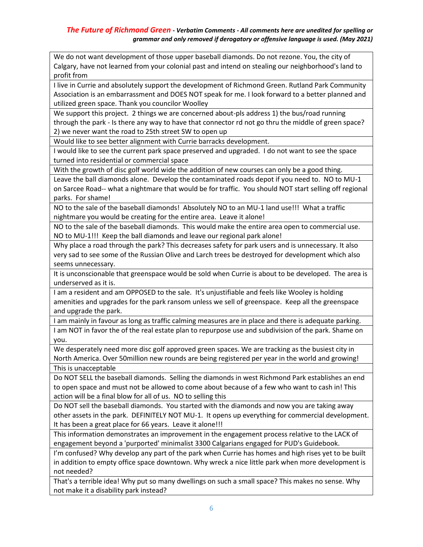We do not want development of those upper baseball diamonds. Do not rezone. You, the city of Calgary, have not learned from your colonial past and intend on stealing our neighborhood's land to profit from

I live in Currie and absolutely support the development of Richmond Green. Rutland Park Community Association is an embarrassment and DOES NOT speak for me. I look forward to a better planned and utilized green space. Thank you councilor Woolley

We support this project. 2 things we are concerned about-pls address 1) the bus/road running through the park - Is there any way to have that connector rd not go thru the middle of green space? 2) we never want the road to 25th street SW to open up

Would like to see better alignment with Currie barracks development.

I would like to see the current park space preserved and upgraded. I do not want to see the space turned into residential or commercial space

With the growth of disc golf world wide the addition of new courses can only be a good thing.

Leave the ball diamonds alone. Develop the contaminated roads depot if you need to. NO to MU-1 on Sarcee Road-- what a nightmare that would be for traffic. You should NOT start selling off regional parks. For shame!

NO to the sale of the baseball diamonds! Absolutely NO to an MU-1 land use!!! What a traffic nightmare you would be creating for the entire area. Leave it alone!

NO to the sale of the baseball diamonds. This would make the entire area open to commercial use. NO to MU-1!!! Keep the ball diamonds and leave our regional park alone!

Why place a road through the park? This decreases safety for park users and is unnecessary. It also very sad to see some of the Russian Olive and Larch trees be destroyed for development which also seems unnecessary.

It is unconscionable that greenspace would be sold when Currie is about to be developed. The area is underserved as it is.

I am a resident and am OPPOSED to the sale. It's unjustifiable and feels like Wooley is holding amenities and upgrades for the park ransom unless we sell of greenspace. Keep all the greenspace and upgrade the park.

I am mainly in favour as long as traffic calming measures are in place and there is adequate parking. I am NOT in favor the of the real estate plan to repurpose use and subdivision of the park. Shame on you.

We desperately need more disc golf approved green spaces. We are tracking as the busiest city in North America. Over 50million new rounds are being registered per year in the world and growing! This is unacceptable

Do NOT SELL the baseball diamonds. Selling the diamonds in west Richmond Park establishes an end to open space and must not be allowed to come about because of a few who want to cash in! This action will be a final blow for all of us. NO to selling this

Do NOT sell the baseball diamonds. You started with the diamonds and now you are taking away other assets in the park. DEFINITELY NOT MU-1. It opens up everything for commercial development. It has been a great place for 66 years. Leave it alone!!!

This information demonstrates an improvement in the engagement process relative to the LACK of engagement beyond a 'purported' minimalist 3300 Calgarians engaged for PUD's Guidebook.

I'm confused? Why develop any part of the park when Currie has homes and high rises yet to be built in addition to empty office space downtown. Why wreck a nice little park when more development is not needed?

That's a terrible idea! Why put so many dwellings on such a small space? This makes no sense. Why not make it a disability park instead?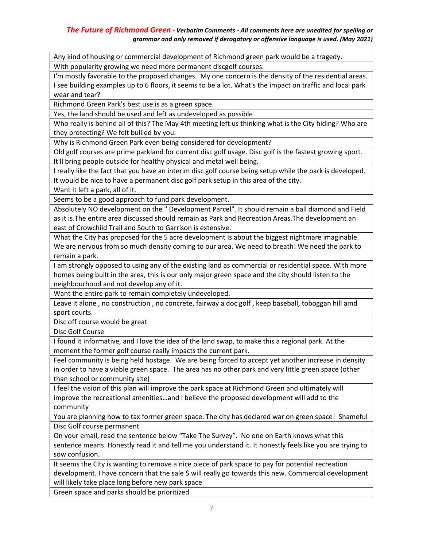Any kind of housing or commercial development of Richmond green park would be a tragedy. With popularity growing we need more permanent discgolf courses.

I'm mostly favorable to the proposed changes. My one concern is the density of the residential areas. I see building examples up to 6 floors, it seems to be a lot. What's the impact on traffic and local park wear and tear?

Richmond Green Park's best use is as a green space.

Yes, the land should be used and left as undeveloped as possible

Who really is behind all of this? The May 4th meeting left us thinking what is the City hiding? Who are they protecting? We felt bullied by you.

Why is Richmond Green Park even being considered for development?

Old golf courses are prime parkland for current disc golf usage. Disc golf is the fastest growing sport. It'll bring people outside for healthy physical and metal well being.

I really like the fact that you have an interim disc golf course being setup while the park is developed. It would be nice to have a permanent disc golf park setup in this area of the city.

Want it left a park, all of it.

Seems to be a good approach to fund park development.

Absolutely NO development on the " Development Parcel". It should remain a ball diamond and Field as it is.The entire area discussed should remain as Park and Recreation Areas.The development an east of Crowchild Trail and South to Garrison is extensive.

What the City has proposed for the 5 acre development is about the biggest nightmare imaginable. We are nervous from so much density coming to our area. We need to breath! We need the park to remain a park.

I am strongly opposed to using any of the existing land as commercial or residential space. With more homes being built in the area, this is our only major green space and the city should listen to the neighbourhood and not develop any of it.

Want the entire park to remain completely undeveloped.

Leave it alone , no construction , no concrete, fairway a doc golf , keep baseball, toboggan hill amd sport courts.

Disc off course would be great

Disc Golf Course

I found it informative, and I love the idea of the land swap, to make this a regional park. At the moment the former golf course really impacts the current park.

Feel community is being held hostage. We are being forced to accept yet another increase in density in order to have a viable green space. The area has no other park and very little green space (other than school or community site)

I feel the vision of this plan will improve the park space at Richmond Green and ultimately will improve the recreational amenities…and I believe the proposed development will add to the community

You are planning how to tax former green space. The city has declared war on green space! Shameful Disc Golf course permanent

On your email, read the sentence below "Take The Survey". No one on Earth knows what this sentence means. Honestly read it and tell me you understand it. It honestly feels like you are trying to sow confusion.

It seems the City is wanting to remove a nice piece of park space to pay for potential recreation development. I have concern that the sale \$ will really go towards this new. Commercial development will likely take place long before new park space

Green space and parks should be prioritized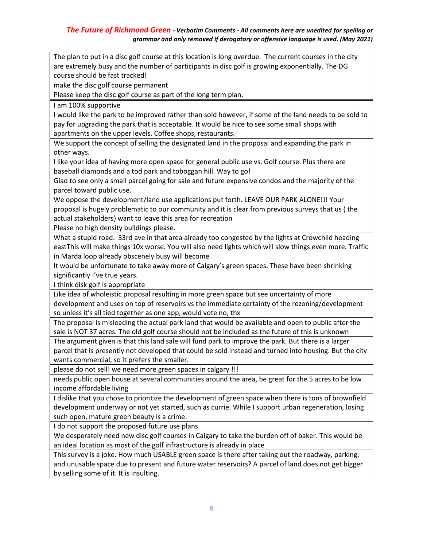The plan to put in a disc golf course at this location is long overdue. The current courses in the city are extremely busy and the number of participants in disc golf is growing exponentially. The DG course should be fast tracked!

make the disc golf course permanent

Please keep the disc golf course as part of the long term plan.

I am 100% supportive

I would like the park to be improved rather than sold however, if some of the land needs to be sold to pay for upgrading the park that is acceptable. It would be nice to see some small shops with apartments on the upper levels. Coffee shops, restaurants.

We support the concept of selling the designated land in the proposal and expanding the park in other ways.

I like your idea of having more open space for general public use vs. Golf course. Plus there are baseball diamonds and a tod park and toboggan hill. Way to go!

Glad to see only a small parcel going for sale and future expensive condos and the majority of the parcel toward public use.

We oppose the development/land use applications put forth. LEAVE OUR PARK ALONE!!! Your proposal is hugely problematic to our community and it is clear from previous surveys that us ( the actual stakeholders) want to leave this area for recreation

Please no high density buildings please.

What a stupid road. 33rd ave in that area already too congested by the lights at Crowchild heading eastThis will make things 10x worse. You will also need lights which will slow things even more. Traffic in Marda loop already obscenely busy will become

It would be unfortunate to take away more of Calgary's green spaces. These have been shrinking significantly I've true years.

I think disk golf is appropriate

Like idea of wholeistic proposal resulting in more green space but see uncertainty of more development and uses on top of reservoirs vs the immediate certainty of the rezoning/development so unless it's all tied together as one app, would vote no, thx

The proposal is misleading the actual park land that would be available and open to public after the sale is NOT 37 acres. The old golf course should not be included as the future of this is unknown

The argument given is that this land sale will fund park to improve the park. But there is a larger parcel that is presently not developed that could be sold instead and turned into housing. But the city wants commercial, so it prefers the smaller.

please do not sell! we need more green spaces in calgary !!!

needs public open house at several communities around the area, be great for the 5 acres to be low income affordable living

I dislike that you chose to prioritize the development of green space when there is tons of brownfield development underway or not yet started, such as currie. While I support urban regeneration, losing such open, mature green beauty is a crime.

I do not support the proposed future use plans.

We desperately need new disc golf courses in Calgary to take the burden off of baker. This would be an ideal location as most of the golf infrastructure is already in place

This survey is a joke. How much USABLE green space is there after taking out the roadway, parking, and unusable space due to present and future water reservoirs? A parcel of land does not get bigger by selling some of it. It is insulting.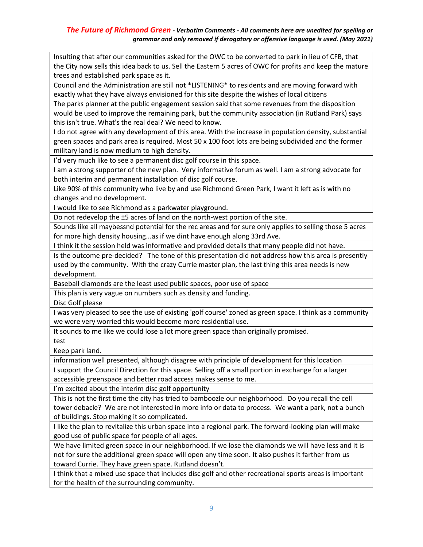Insulting that after our communities asked for the OWC to be converted to park in lieu of CFB, that the City now sells this idea back to us. Sell the Eastern 5 acres of OWC for profits and keep the mature trees and established park space as it.

Council and the Administration are still not \*LISTENING\* to residents and are moving forward with exactly what they have always envisioned for this site despite the wishes of local citizens

The parks planner at the public engagement session said that some revenues from the disposition would be used to improve the remaining park, but the community association (in Rutland Park) says this isn't true. What's the real deal? We need to know.

I do not agree with any development of this area. With the increase in population density, substantial green spaces and park area is required. Most 50 x 100 foot lots are being subdivided and the former military land is now medium to high density.

I'd very much like to see a permanent disc golf course in this space.

I am a strong supporter of the new plan. Very informative forum as well. I am a strong advocate for both interim and permanent installation of disc golf course.

Like 90% of this community who live by and use Richmond Green Park, I want it left as is with no changes and no development.

I would like to see Richmond as a parkwater playground.

Do not redevelop the ±5 acres of land on the north-west portion of the site.

Sounds like all maybessnd potential for the rec areas and for sure only applies to selling those 5 acres for more high density housing...as if we dint have enough along 33rd Ave.

I think it the session held was informative and provided details that many people did not have.

Is the outcome pre-decided? The tone of this presentation did not address how this area is presently used by the community. With the crazy Currie master plan, the last thing this area needs is new development.

Baseball diamonds are the least used public spaces, poor use of space

This plan is very vague on numbers such as density and funding.

Disc Golf please

I was very pleased to see the use of existing 'golf course' zoned as green space. I think as a community we were very worried this would become more residential use.

It sounds to me like we could lose a lot more green space than originally promised.

test

Keep park land.

information well presented, although disagree with principle of development for this location

I support the Council Direction for this space. Selling off a small portion in exchange for a larger accessible greenspace and better road access makes sense to me.

I'm excited about the interim disc golf opportunity

This is not the first time the city has tried to bamboozle our neighborhood. Do you recall the cell tower debacle? We are not interested in more info or data to process. We want a park, not a bunch of buildings. Stop making it so complicated.

I like the plan to revitalize this urban space into a regional park. The forward-looking plan will make good use of public space for people of all ages.

We have limited green space in our neighborhood. If we lose the diamonds we will have less and it is not for sure the additional green space will open any time soon. It also pushes it farther from us toward Currie. They have green space. Rutland doesn't.

I think that a mixed use space that includes disc golf and other recreational sports areas is important for the health of the surrounding community.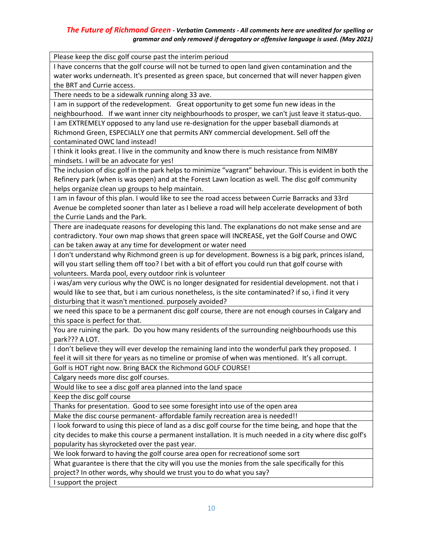Please keep the disc golf course past the interim perioud

I have concerns that the golf course will not be turned to open land given contamination and the water works underneath. It's presented as green space, but concerned that will never happen given the BRT and Currie access.

There needs to be a sidewalk running along 33 ave.

I am in support of the redevelopment. Great opportunity to get some fun new ideas in the neighbourhood. If we want inner city neighbourhoods to prosper, we can't just leave it status-quo.

I am EXTREMELY opposed to any land use re-designation for the upper baseball diamonds at Richmond Green, ESPECIALLY one that permits ANY commercial development. Sell off the contaminated OWC land instead!

I think it looks great. I live in the community and know there is much resistance from NIMBY mindsets. I will be an advocate for yes!

The inclusion of disc golf in the park helps to minimize "vagrant" behaviour. This is evident in both the Refinery park (when is was open) and at the Forest Lawn location as well. The disc golf community helps organize clean up groups to help maintain.

I am in favour of this plan. I would like to see the road access between Currie Barracks and 33rd Avenue be completed sooner than later as I believe a road will help accelerate development of both the Currie Lands and the Park.

There are inadequate reasons for developing this land. The explanations do not make sense and are contradictory. Your own map shows that green space will INCREASE, yet the Golf Course and OWC can be taken away at any time for development or water need

I don't understand why Richmond green is up for development. Bowness is a big park, princes island, will you start selling them off too? I bet with a bit of effort you could run that golf course with volunteers. Marda pool, every outdoor rink is volunteer

i was/am very curious why the OWC is no longer designated for residential development. not that i would like to see that, but i am curious nonetheless, is the site contaminated? if so, i find it very disturbing that it wasn't mentioned. purposely avoided?

we need this space to be a permanent disc golf course, there are not enough courses in Calgary and this space is perfect for that.

You are ruining the park. Do you how many residents of the surrounding neighbourhoods use this park??? A LOT.

I don't believe they will ever develop the remaining land into the wonderful park they proposed. I feel it will sit there for years as no timeline or promise of when was mentioned. It's all corrupt.

Golf is HOT right now. Bring BACK the Richmond GOLF COURSE!

Calgary needs more disc golf courses.

Would like to see a disc golf area planned into the land space

Keep the disc golf course

Thanks for presentation. Good to see some foresight into use of the open area

Make the disc course permanent- affordable family recreation area is needed!!

I look forward to using this piece of land as a disc golf course for the time being, and hope that the city decides to make this course a permanent installation. It is much needed in a city where disc golf's popularity has skyrocketed over the past year.

We look forward to having the golf course area open for recreationof some sort

What guarantee is there that the city will you use the monies from the sale specifically for this project? In other words, why should we trust you to do what you say?

I support the project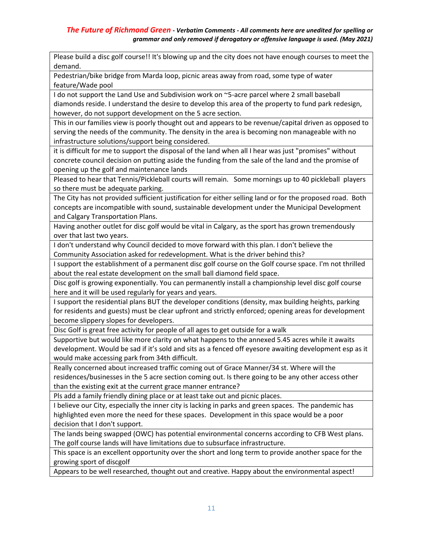Please build a disc golf course!! It's blowing up and the city does not have enough courses to meet the demand.

Pedestrian/bike bridge from Marda loop, picnic areas away from road, some type of water feature/Wade pool

I do not support the Land Use and Subdivision work on ~5-acre parcel where 2 small baseball diamonds reside. I understand the desire to develop this area of the property to fund park redesign, however, do not support development on the 5 acre section.

This in our families view is poorly thought out and appears to be revenue/capital driven as opposed to serving the needs of the community. The density in the area is becoming non manageable with no infrastructure solutions/support being considered.

it is difficult for me to support the disposal of the land when all I hear was just "promises" without concrete council decision on putting aside the funding from the sale of the land and the promise of opening up the golf and maintenance lands

Pleased to hear that Tennis/Pickleball courts will remain. Some mornings up to 40 pickleball players so there must be adequate parking.

The City has not provided sufficient justification for either selling land or for the proposed road. Both concepts are incompatible with sound, sustainable development under the Municipal Development and Calgary Transportation Plans.

Having another outlet for disc golf would be vital in Calgary, as the sport has grown tremendously over that last two years.

I don't understand why Council decided to move forward with this plan. I don't believe the Community Association asked for redevelopment. What is the driver behind this?

I support the establishment of a permanent disc golf course on the Golf course space. I'm not thrilled about the real estate development on the small ball diamond field space.

Disc golf is growing exponentially. You can permanently install a championship level disc golf course here and it will be used regularly for years and years.

I support the residential plans BUT the developer conditions (density, max building heights, parking for residents and guests) must be clear upfront and strictly enforced; opening areas for development become slippery slopes for developers.

Disc Golf is great free activity for people of all ages to get outside for a walk

Supportive but would like more clarity on what happens to the annexed 5.45 acres while it awaits development. Would be sad if it's sold and sits as a fenced off eyesore awaiting development esp as it would make accessing park from 34th difficult.

Really concerned about increased traffic coming out of Grace Manner/34 st. Where will the residences/businesses in the 5 acre section coming out. Is there going to be any other access other than the existing exit at the current grace manner entrance?

Pls add a family friendly dining place or at least take out and picnic places.

I believe our City, especially the inner city is lacking in parks and green spaces. The pandemic has highlighted even more the need for these spaces. Development in this space would be a poor decision that I don't support.

The lands being swapped (OWC) has potential environmental concerns according to CFB West plans. The golf course lands will have limitations due to subsurface infrastructure.

This space is an excellent opportunity over the short and long term to provide another space for the growing sport of discgolf

Appears to be well researched, thought out and creative. Happy about the environmental aspect!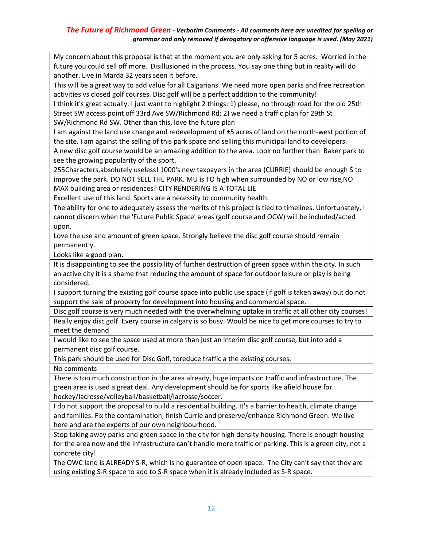My concern about this proposal is that at the moment you are only asking for 5 acres. Worried in the future you could sell off more. Disillusioned in the process. You say one thing but in reality will do another. Live in Marda 32 years seen it before.

This will be a great way to add value for all Calgarians. We need more open parks and free recreation activities vs closed golf courses. Disc golf will be a perfect addition to the community!

I think it's great actually. I just want to highlight 2 things: 1) please, no through road for the old 25th Street SW access point off 33rd Ave SW/Richmond Rd; 2) we need a traffic plan for 29th St SW/Richmond Rd SW. Other than this, love the future plan

I am against the land use change and redevelopment of ±5 acres of land on the north-west portion of the site. I am against the selling of this park space and selling this municipal land to developers.

A new disc golf course would be an amazing addition to the area. Look no further than Baker park to see the growing popularity of the sport.

255Characters,absolutely useless! 1000's new taxpayers in the area (CURRIE) should be enough \$ to improve the park. DO NOT SELL THE PARK. MU is TO high when surrounded by NO or low rise,NO MAX building area or residences? CITY RENDERING IS A TOTAL LIE

Excellent use of this land. Sports are a necessity to community health.

The ability for one to adequately assess the merits of this project is tied to timelines. Unfortunately, I cannot discern when the 'Future Public Space' areas (golf course and OCW) will be included/acted upon.

Love the use and amount of green space. Strongly believe the disc golf course should remain permanently.

Looks like a good plan.

It is disappointing to see the possibility of further destruction of green space within the city. In such an active city it is a shame that reducing the amount of space for outdoor leisure or play is being considered.

I support turning the existing golf course space into public use space (if golf is taken away) but do not support the sale of property for development into housing and commercial space.

Disc golf course is very much needed with the overwhelming uptake in traffic at all other city courses! Really enjoy disc golf. Every course in calgary is so busy. Would be nice to get more courses to try to meet the demand

I would like to see the space used at more than just an interim disc golf course, but into add a permanent disc golf course.

This park should be used for Disc Golf, toreduce traffic a the existing courses.

No comments

There is too much construction in the area already, huge impacts on traffic and infrastructure. The green area is used a great deal. Any development should be for sports like afield house for hockey/lacrosse/volleyball/basketball/lacrosse/soccer.

I do not support the proposal to build a residential building. It's a barrier to health, climate change and families. Fix the contamination, finish Currie and preserve/enhance Richmond Green. We live here and are the experts of our own neighbourhood.

Stop taking away parks and green space in the city for high density housing. There is enough housing for the area now and the infrastructure can't handle more traffic or parking. This is a green city, not a concrete city!

The OWC land is ALREADY S-R, which is no guarantee of open space. The City can't say that they are using existing S-R space to add to S-R space when it is already included as S-R space.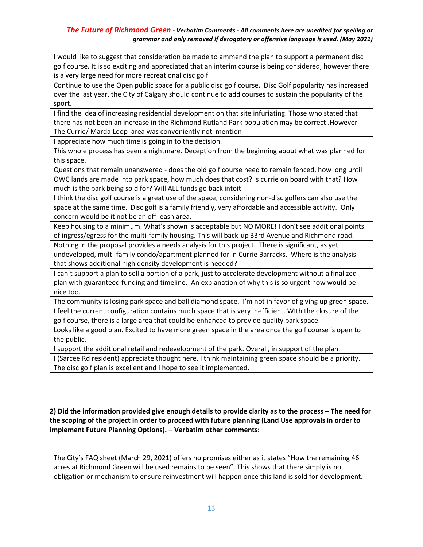I would like to suggest that consideration be made to ammend the plan to support a permanent disc golf course. It is so exciting and appreciated that an interim course is being considered, however there is a very large need for more recreational disc golf

Continue to use the Open public space for a public disc golf course. Disc Golf popularity has increased over the last year, the City of Calgary should continue to add courses to sustain the popularity of the sport.

I find the idea of increasing residential development on that site infuriating. Those who stated that there has not been an increase in the Richmond Rutland Park population may be correct .However The Currie/ Marda Loop area was conveniently not mention

I appreciate how much time is going in to the decision.

This whole process has been a nightmare. Deception from the beginning about what was planned for this space.

Questions that remain unanswered - does the old golf course need to remain fenced, how long until OWC lands are made into park space, how much does that cost? Is currie on board with that? How much is the park being sold for? Will ALL funds go back intoit

I think the disc golf course is a great use of the space, considering non-disc golfers can also use the space at the same time. Disc golf is a family friendly, very affordable and accessible activity. Only concern would be it not be an off leash area.

Keep housing to a minimum. What's shown is acceptable but NO MORE! I don't see additional points of ingress/egress for the multi-family housing. This will back-up 33rd Avenue and Richmond road.

Nothing in the proposal provides a needs analysis for this project. There is significant, as yet undeveloped, multi-family condo/apartment planned for in Currie Barracks. Where is the analysis that shows additional high density development is needed?

I can't support a plan to sell a portion of a park, just to accelerate development without a finalized plan with guaranteed funding and timeline. An explanation of why this is so urgent now would be nice too.

The community is losing park space and ball diamond space. I'm not in favor of giving up green space. I feel the current configuration contains much space that is very inefficient. WIth the closure of the golf course, there is a large area that could be enhanced to provide quality park space.

Looks like a good plan. Excited to have more green space in the area once the golf course is open to the public.

I support the additional retail and redevelopment of the park. Overall, in support of the plan.

I (Sarcee Rd resident) appreciate thought here. I think maintaining green space should be a priority. The disc golf plan is excellent and I hope to see it implemented.

# **2) Did the information provided give enough details to provide clarity as to the process – The need for the scoping of the project in order to proceed with future planning (Land Use approvals in order to implement Future Planning Options). – Verbatim other comments:**

The City's FAQ sheet (March 29, 2021) offers no promises either as it states "How the remaining 46 acres at Richmond Green will be used remains to be seen". This shows that there simply is no obligation or mechanism to ensure reinvestment will happen once this land is sold for development.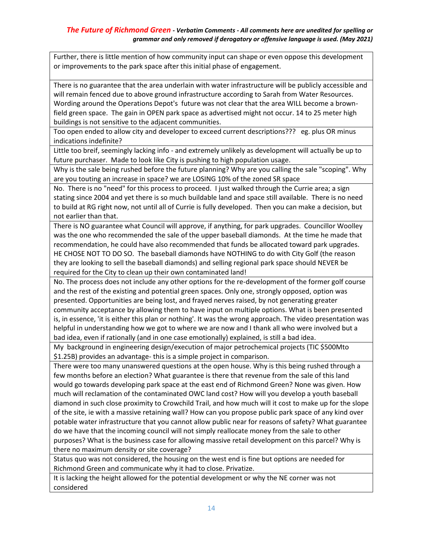Further, there is little mention of how community input can shape or even oppose this development or improvements to the park space after this initial phase of engagement.

There is no guarantee that the area underlain with water infrastructure will be publicly accessible and will remain fenced due to above ground infrastructure according to Sarah from Water Resources. Wording around the Operations Depot's future was not clear that the area WILL become a brownfield green space. The gain in OPEN park space as advertised might not occur. 14 to 25 meter high buildings is not sensitive to the adjacent communities.

Too open ended to allow city and developer to exceed current descriptions??? eg. plus OR minus indications indefinite?

Little too breif, seemingly lacking info - and extremely unlikely as development will actually be up to future purchaser. Made to look like City is pushing to high population usage.

Why is the sale being rushed before the future planning? Why are you calling the sale "scoping". Why are you touting an increase in space? we are LOSING 10% of the zoned SR space

No. There is no "need" for this process to proceed. I just walked through the Currie area; a sign stating since 2004 and yet there is so much buildable land and space still available. There is no need to build at RG right now, not until all of Currie is fully developed. Then you can make a decision, but not earlier than that.

There is NO guarantee what Council will approve, if anything, for park upgrades. Councillor Woolley was the one who recommended the sale of the upper baseball diamonds. At the time he made that recommendation, he could have also recommended that funds be allocated toward park upgrades. HE CHOSE NOT TO DO SO. The baseball diamonds have NOTHING to do with City Golf (the reason they are looking to sell the baseball diamonds) and selling regional park space should NEVER be required for the City to clean up their own contaminated land!

No. The process does not include any other options for the re-development of the former golf course and the rest of the existing and potential green spaces. Only one, strongly opposed, option was presented. Opportunities are being lost, and frayed nerves raised, by not generating greater community acceptance by allowing them to have input on multiple options. What is been presented is, in essence, 'it is either this plan or nothing'. It was the wrong approach. The video presentation was helpful in understanding how we got to where we are now and I thank all who were involved but a bad idea, even if rationally (and in one case emotionally) explained, is still a bad idea.

My background in engineering design/execution of major petrochemical projects (TIC \$500Mto \$1.25B) provides an advantage- this is a simple project in comparison.

There were too many unanswered questions at the open house. Why is this being rushed through a few months before an election? What guarantee is there that revenue from the sale of this land would go towards developing park space at the east end of Richmond Green? None was given. How much will reclamation of the contaminated OWC land cost? How will you develop a youth baseball diamond in such close proximity to Crowchild Trail, and how much will it cost to make up for the slope of the site, ie with a massive retaining wall? How can you propose public park space of any kind over potable water infrastructure that you cannot allow public near for reasons of safety? What guarantee do we have that the incoming council will not simply reallocate money from the sale to other purposes? What is the business case for allowing massive retail development on this parcel? Why is there no maximum density or site coverage?

Status quo was not considered, the housing on the west end is fine but options are needed for Richmond Green and communicate why it had to close. Privatize.

It is lacking the height allowed for the potential development or why the NE corner was not considered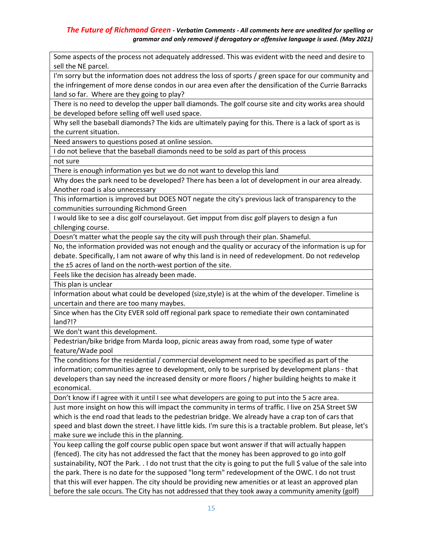Some aspects of the process not adequately addressed. This was evident witb the need and desire to sell the NE parcel.

I'm sorry but the information does not address the loss of sports / green space for our community and the infringement of more dense condos in our area even after the densification of the Currie Barracks land so far. Where are they going to play?

There is no need to develop the upper ball diamonds. The golf course site and city works area should be developed before selling off well used space.

Why sell the baseball diamonds? The kids are ultimately paying for this. There is a lack of sport as is the current situation.

Need answers to questions posed at online session.

I do not believe that the baseball diamonds need to be sold as part of this process

not sure

There is enough information yes but we do not want to develop this land

Why does the park need to be developed? There has been a lot of development in our area already. Another road is also unnecessary

This informartion is improved but DOES NOT negate the city's previous lack of transparency to the communities surrounding Richmond Green

I would like to see a disc golf courselayout. Get impput from disc golf players to design a fun chllenging course.

Doesn't matter what the people say the city will push through their plan. Shameful.

No, the information provided was not enough and the quality or accuracy of the information is up for debate. Specifically, I am not aware of why this land is in need of redevelopment. Do not redevelop the ±5 acres of land on the north-west portion of the site.

Feels like the decision has already been made.

This plan is unclear

Information about what could be developed (size,style) is at the whim of the developer. Timeline is uncertain and there are too many maybes.

Since when has the City EVER sold off regional park space to remediate their own contaminated land?!?

We don't want this development.

Pedestrian/bike bridge from Marda loop, picnic areas away from road, some type of water feature/Wade pool

The conditions for the residential / commercial development need to be specified as part of the information; communities agree to development, only to be surprised by development plans - that developers than say need the increased density or more floors / higher building heights to make it economical.

Don't know if I agree with it until I see what developers are going to put into the 5 acre area.

Just more insight on how this will impact the community in terms of traffic. I live on 25A Street SW which is the end road that leads to the pedestrian bridge. We already have a crap ton of cars that speed and blast down the street. I have little kids. I'm sure this is a tractable problem. But please, let's make sure we include this in the planning.

You keep calling the golf course public open space but wont answer if that will actually happen (fenced). The city has not addressed the fact that the money has been approved to go into golf sustainability, NOT the Park. . I do not trust that the city is going to put the full \$ value of the sale into the park. There is no date for the supposed "long term" redevelopment of the OWC. I do not trust that this will ever happen. The city should be providing new amenities or at least an approved plan before the sale occurs. The City has not addressed that they took away a community amenity (golf)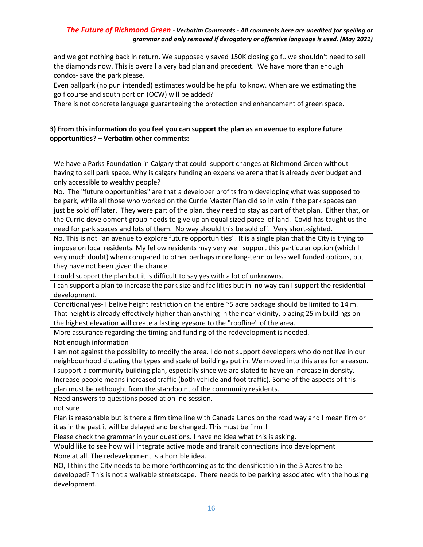and we got nothing back in return. We supposedly saved 150K closing golf.. we shouldn't need to sell the diamonds now. This is overall a very bad plan and precedent. We have more than enough condos- save the park please.

Even ballpark (no pun intended) estimates would be helpful to know. When are we estimating the golf course and south portion (OCW) will be added?

There is not concrete language guaranteeing the protection and enhancement of green space.

### **3) From this information do you feel you can support the plan as an avenue to explore future opportunities? – Verbatim other comments:**

We have a Parks Foundation in Calgary that could support changes at Richmond Green without having to sell park space. Why is calgary funding an expensive arena that is already over budget and only accessible to wealthy people?

No. The "future opportunities" are that a developer profits from developing what was supposed to be park, while all those who worked on the Currie Master Plan did so in vain if the park spaces can just be sold off later. They were part of the plan, they need to stay as part of that plan. Either that, or the Currie development group needs to give up an equal sized parcel of land. Covid has taught us the need for park spaces and lots of them. No way should this be sold off. Very short-sighted.

No. This is not "an avenue to explore future opportunities". It is a single plan that the City is trying to impose on local residents. My fellow residents may very well support this particular option (which I very much doubt) when compared to other perhaps more long-term or less well funded options, but they have not been given the chance.

I could support the plan but it is difficult to say yes with a lot of unknowns.

I can support a plan to increase the park size and facilities but in no way can I support the residential development.

Conditional yes- I belive height restriction on the entire ~5 acre package should be limited to 14 m. That height is already effectively higher than anything in the near vicinity, placing 25 m buildings on the highest elevation will create a lasting eyesore to the "roofline" of the area.

More assurance regarding the timing and funding of the redevelopment is needed.

Not enough information

I am not against the possibility to modify the area. I do not support developers who do not live in our neighbourhood dictating the types and scale of buildings put in. We moved into this area for a reason. I support a community building plan, especially since we are slated to have an increase in density. Increase people means increased traffic (both vehicle and foot traffic). Some of the aspects of this plan must be rethought from the standpoint of the community residents.

Need answers to questions posed at online session.

not sure

Plan is reasonable but is there a firm time line with Canada Lands on the road way and I mean firm or it as in the past it will be delayed and be changed. This must be firm!!

Please check the grammar in your questions. I have no idea what this is asking.

Would like to see how will integrate active mode and transit connections into development

None at all. The redevelopment is a horrible idea.

NO, I think the City needs to be more forthcoming as to the densification in the 5 Acres tro be developed? This is not a walkable streetscape. There needs to be parking associated with the housing development.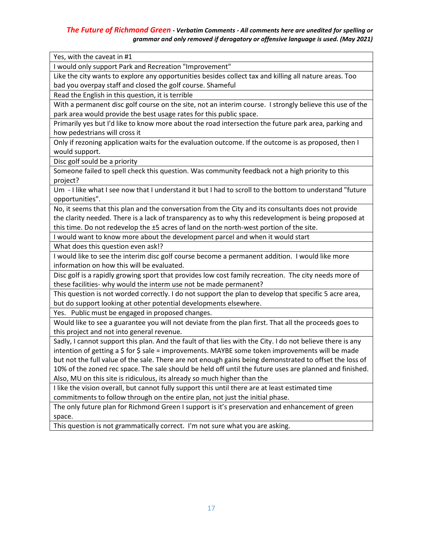Yes, with the caveat in #1

I would only support Park and Recreation "Improvement"

Like the city wants to explore any opportunities besides collect tax and killing all nature areas. Too bad you overpay staff and closed the golf course. Shameful

Read the English in this question, it is terrible

With a permanent disc golf course on the site, not an interim course. I strongly believe this use of the park area would provide the best usage rates for this public space.

Primarily yes but I'd like to know more about the road intersection the future park area, parking and how pedestrians will cross it

Only if rezoning application waits for the evaluation outcome. If the outcome is as proposed, then I would support.

Disc golf sould be a priority

Someone failed to spell check this question. Was community feedback not a high priority to this project?

Um - I like what I see now that I understand it but I had to scroll to the bottom to understand "future opportunities".

No, it seems that this plan and the conversation from the City and its consultants does not provide the clarity needed. There is a lack of transparency as to why this redevelopment is being proposed at this time. Do not redevelop the ±5 acres of land on the north-west portion of the site.

I would want to know more about the development parcel and when it would start

What does this question even ask!?

I would like to see the interim disc golf course become a permanent addition. I would like more information on how this will be evaluated.

Disc golf is a rapidly growing sport that provides low cost family recreation. The city needs more of these facilities- why would the interm use not be made permanent?

This question is not worded correctly. I do not support the plan to develop that specific 5 acre area, but do support looking at other potential developments elsewhere.

Yes. Public must be engaged in proposed changes.

Would like to see a guarantee you will not deviate from the plan first. That all the proceeds goes to this project and not into general revenue.

Sadly, I cannot support this plan. And the fault of that lies with the City. I do not believe there is any intention of getting a  $\frac{1}{2}$  for  $\frac{1}{2}$  sale = improvements. MAYBE some token improvements will be made but not the full value of the sale. There are not enough gains being demonstrated to offset the loss of 10% of the zoned rec space. The sale should be held off until the future uses are planned and finished. Also, MU on this site is ridiculous, its already so much higher than the

I like the vision overall, but cannot fully support this until there are at least estimated time commitments to follow through on the entire plan, not just the initial phase.

The only future plan for Richmond Green I support is it's preservation and enhancement of green space.

This question is not grammatically correct. I'm not sure what you are asking.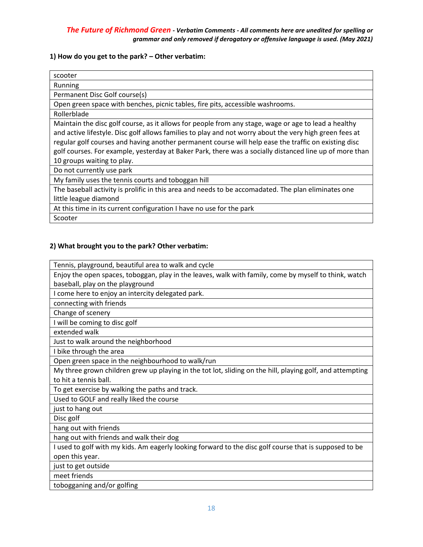#### **1) How do you get to the park? – Other verbatim:**

| scooter                                                                                                                                                                                                                                                                                                                                                                                                                                                          |
|------------------------------------------------------------------------------------------------------------------------------------------------------------------------------------------------------------------------------------------------------------------------------------------------------------------------------------------------------------------------------------------------------------------------------------------------------------------|
| Running                                                                                                                                                                                                                                                                                                                                                                                                                                                          |
| Permanent Disc Golf course(s)                                                                                                                                                                                                                                                                                                                                                                                                                                    |
| Open green space with benches, picnic tables, fire pits, accessible washrooms.                                                                                                                                                                                                                                                                                                                                                                                   |
| Rollerblade                                                                                                                                                                                                                                                                                                                                                                                                                                                      |
| Maintain the disc golf course, as it allows for people from any stage, wage or age to lead a healthy<br>and active lifestyle. Disc golf allows families to play and not worry about the very high green fees at<br>regular golf courses and having another permanent course will help ease the traffic on existing disc<br>golf courses. For example, yesterday at Baker Park, there was a socially distanced line up of more than<br>10 groups waiting to play. |
| Do not currently use park                                                                                                                                                                                                                                                                                                                                                                                                                                        |
| My family uses the tennis courts and toboggan hill                                                                                                                                                                                                                                                                                                                                                                                                               |
| The baseball activity is prolific in this area and needs to be accomadated. The plan eliminates one                                                                                                                                                                                                                                                                                                                                                              |
| little league diamond                                                                                                                                                                                                                                                                                                                                                                                                                                            |
| At this time in its current configuration I have no use for the park                                                                                                                                                                                                                                                                                                                                                                                             |
| Scooter                                                                                                                                                                                                                                                                                                                                                                                                                                                          |

#### **2) What brought you to the park? Other verbatim:**

Tennis, playground, beautiful area to walk and cycle

Enjoy the open spaces, toboggan, play in the leaves, walk with family, come by myself to think, watch baseball, play on the playground

I come here to enjoy an intercity delegated park.

connecting with friends

Change of scenery

I will be coming to disc golf

extended walk

Just to walk around the neighborhood

I bike through the area

Open green space in the neighbourhood to walk/run

My three grown children grew up playing in the tot lot, sliding on the hill, playing golf, and attempting to hit a tennis ball.

To get exercise by walking the paths and track.

Used to GOLF and really liked the course

just to hang out

Disc golf

hang out with friends

hang out with friends and walk their dog

I used to golf with my kids. Am eagerly looking forward to the disc golf course that is supposed to be open this year.

just to get outside

meet friends

tobogganing and/or golfing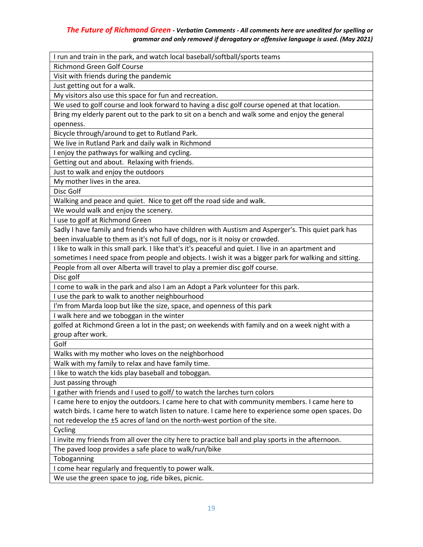I run and train in the park, and watch local baseball/softball/sports teams Richmond Green Golf Course Visit with friends during the pandemic Just getting out for a walk. My visitors also use this space for fun and recreation. We used to golf course and look forward to having a disc golf course opened at that location. Bring my elderly parent out to the park to sit on a bench and walk some and enjoy the general openness. Bicycle through/around to get to Rutland Park. We live in Rutland Park and daily walk in Richmond I enjoy the pathways for walking and cycling. Getting out and about. Relaxing with friends. Just to walk and enjoy the outdoors My mother lives in the area. Disc Golf Walking and peace and quiet. Nice to get off the road side and walk. We would walk and enjoy the scenery. I use to golf at Richmond Green Sadly I have family and friends who have children with Austism and Asperger's. This quiet park has been invaluable to them as it's not full of dogs, nor is it noisy or crowded. I like to walk in this small park. I like that's it's peaceful and quiet. I live in an apartment and sometimes I need space from people and objects. I wish it was a bigger park for walking and sitting. People from all over Alberta will travel to play a premier disc golf course. Disc golf I come to walk in the park and also I am an Adopt a Park volunteer for this park. I use the park to walk to another neighbourhood I'm from Marda loop but like the size, space, and openness of this park I walk here and we toboggan in the winter golfed at Richmond Green a lot in the past; on weekends with family and on a week night with a group after work. Golf Walks with my mother who loves on the neighborhood Walk with my family to relax and have family time. I like to watch the kids play baseball and toboggan. Just passing through I gather with friends and I used to golf/ to watch the larches turn colors I came here to enjoy the outdoors. I came here to chat with community members. I came here to watch birds. I came here to watch listen to nature. I came here to experience some open spaces. Do not redevelop the ±5 acres of land on the north-west portion of the site. Cycling I invite my friends from all over the city here to practice ball and play sports in the afternoon. The paved loop provides a safe place to walk/run/bike Toboganning I come hear regularly and frequently to power walk. We use the green space to jog, ride bikes, picnic.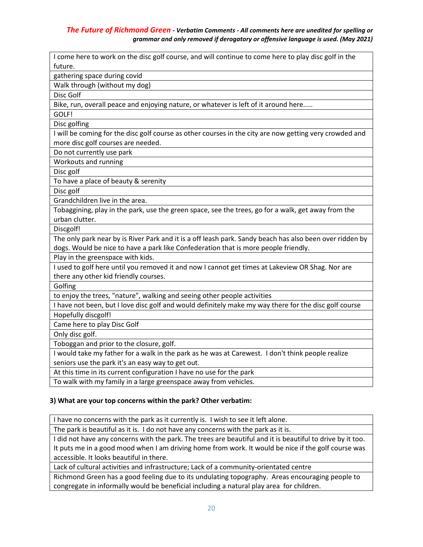| I come here to work on the disc golf course, and will continue to come here to play disc golf in the     |
|----------------------------------------------------------------------------------------------------------|
| future.                                                                                                  |
| gathering space during covid                                                                             |
| Walk through (without my dog)                                                                            |
| Disc Golf                                                                                                |
| Bike, run, overall peace and enjoying nature, or whatever is left of it around here                      |
| GOLF!                                                                                                    |
| Disc golfing                                                                                             |
| I will be coming for the disc golf course as other courses in the city are now getting very crowded and  |
| more disc golf courses are needed.                                                                       |
| Do not currently use park                                                                                |
| Workouts and running                                                                                     |
| Disc golf                                                                                                |
| To have a place of beauty & serenity                                                                     |
| Disc golf                                                                                                |
| Grandchildren live in the area.                                                                          |
| Tobaggining, play in the park, use the green space, see the trees, go for a walk, get away from the      |
| urban clutter.                                                                                           |
| Discgolf!                                                                                                |
| The only park near by is River Park and it is a off leash park. Sandy beach has also been over ridden by |
| dogs. Would be nice to have a park like Confederation that is more people friendly.                      |
| Play in the greenspace with kids.                                                                        |
| I used to golf here until you removed it and now I cannot get times at Lakeview OR Shag. Nor are         |
| there any other kid friendly courses.                                                                    |
| Golfing                                                                                                  |
| to enjoy the trees, "nature", walking and seeing other people activities                                 |
| I have not been, but I love disc golf and would definitely make my way there for the disc golf course    |
| Hopefully discgolf!                                                                                      |
| Came here to play Disc Golf                                                                              |
| Only disc golf.                                                                                          |
| Toboggan and prior to the closure, golf.                                                                 |
| I would take my father for a walk in the park as he was at Carewest. I don't think people realize        |
| seniors use the park it's an easy way to get out.                                                        |
| At this time in its current configuration I have no use for the park                                     |
| To walk with my family in a large greenspace away from vehicles.                                         |

#### **3) What are your top concerns within the park? Other verbatim:**

I have no concerns with the park as it currently is. I wish to see it left alone.

The park is beautiful as it is. I do not have any concerns with the park as it is.

I did not have any concerns with the park. The trees are beautiful and it is beautiful to drive by it too. It puts me in a good mood when I am driving home from work. It would be nice if the golf course was accessible. It looks beautiful in there.

Lack of cultural activities and infrastructure; Lack of a community-orientated centre

Richmond Green has a good feeling due to its undulating topography. Areas encouraging people to congregate in informally would be beneficial including a natural play area for children.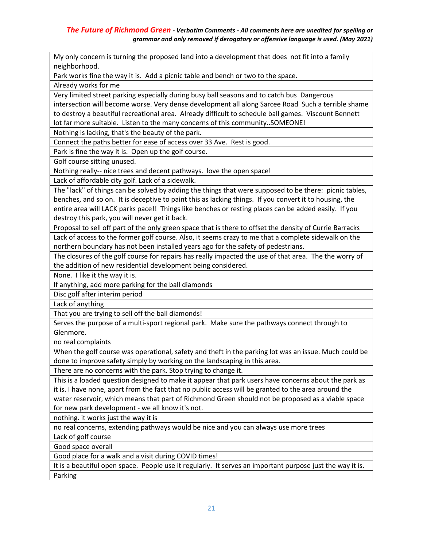My only concern is turning the proposed land into a development that does not fit into a family neighborhood.

Park works fine the way it is. Add a picnic table and bench or two to the space.

Already works for me

Very limited street parking especially during busy ball seasons and to catch bus Dangerous intersection will become worse. Very dense development all along Sarcee Road Such a terrible shame to destroy a beautiful recreational area. Already difficult to schedule ball games. Viscount Bennett lot far more suitable. Listen to the many concerns of this community..SOMEONE!

Nothing is lacking, that's the beauty of the park.

Connect the paths better for ease of access over 33 Ave. Rest is good.

Park is fine the way it is. Open up the golf course.

Golf course sitting unused.

Nothing really-- nice trees and decent pathways. love the open space!

Lack of affordable city golf. Lack of a sidewalk.

The "lack" of things can be solved by adding the things that were supposed to be there: picnic tables, benches, and so on. It is deceptive to paint this as lacking things. If you convert it to housing, the entire area will LACK parks pace!! Things like benches or resting places can be added easily. If you destroy this park, you will never get it back.

Proposal to sell off part of the only green space that is there to offset the density of Currie Barracks

Lack of access to the former golf course. Also, it seems crazy to me that a complete sidewalk on the northern boundary has not been installed years ago for the safety of pedestrians.

The closures of the golf course for repairs has really impacted the use of that area. The the worry of the addition of new residential development being considered.

None. I like it the way it is.

If anything, add more parking for the ball diamonds

Disc golf after interim period

Lack of anything

That you are trying to sell off the ball diamonds!

Serves the purpose of a multi-sport regional park. Make sure the pathways connect through to Glenmore.

no real complaints

When the golf course was operational, safety and theft in the parking lot was an issue. Much could be done to improve safety simply by working on the landscaping in this area.

There are no concerns with the park. Stop trying to change it.

This is a loaded question designed to make it appear that park users have concerns about the park as it is. I have none, apart from the fact that no public access will be granted to the area around the water reservoir, which means that part of Richmond Green should not be proposed as a viable space for new park development - we all know it's not.

nothing. it works just the way it is

no real concerns, extending pathways would be nice and you can always use more trees

Lack of golf course

Good space overall

Good place for a walk and a visit during COVID times!

It is a beautiful open space. People use it regularly. It serves an important purpose just the way it is. Parking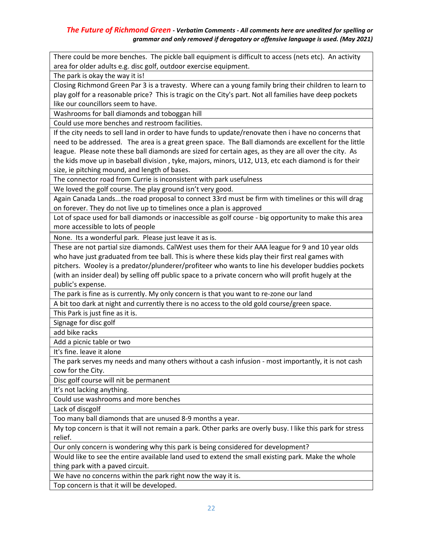There could be more benches. The pickle ball equipment is difficult to access (nets etc). An activity area for older adults e.g. disc golf, outdoor exercise equipment.

The park is okay the way it is!

Closing Richmond Green Par 3 is a travesty. Where can a young family bring their children to learn to play golf for a reasonable price? This is tragic on the City's part. Not all families have deep pockets like our councillors seem to have.

Washrooms for ball diamonds and toboggan hill

Could use more benches and restroom facilities.

If the city needs to sell land in order to have funds to update/renovate then i have no concerns that need to be addressed. The area is a great green space. The Ball diamonds are excellent for the little league. Please note these ball diamonds are sized for certain ages, as they are all over the city. As the kids move up in baseball division , tyke, majors, minors, U12, U13, etc each diamond is for their size, ie pitching mound, and length of bases.

The connector road from Currie is inconsistent with park usefulness

We loved the golf course. The play ground isn't very good.

Again Canada Lands...the road proposal to connect 33rd must be firm with timelines or this will drag on forever. They do not live up to timelines once a plan is approved

Lot of space used for ball diamonds or inaccessible as golf course - big opportunity to make this area more accessible to lots of people

None. Its a wonderful park. Please just leave it as is.

These are not partial size diamonds. CalWest uses them for their AAA league for 9 and 10 year olds who have just graduated from tee ball. This is where these kids play their first real games with pitchers. Wooley is a predator/plunderer/profiteer who wants to line his developer buddies pockets (with an insider deal) by selling off public space to a private concern who will profit hugely at the public's expense.

The park is fine as is currently. My only concern is that you want to re-zone our land

A bit too dark at night and currently there is no access to the old gold course/green space.

This Park is just fine as it is.

Signage for disc golf

add bike racks

Add a picnic table or two

It's fine. leave it alone

The park serves my needs and many others without a cash infusion - most importantly, it is not cash cow for the City.

Disc golf course will nit be permanent

It's not lacking anything.

Could use washrooms and more benches

Lack of discgolf

Too many ball diamonds that are unused 8-9 months a year.

My top concern is that it will not remain a park. Other parks are overly busy. I like this park for stress relief.

Our only concern is wondering why this park is being considered for development?

Would like to see the entire available land used to extend the small existing park. Make the whole thing park with a paved circuit.

We have no concerns within the park right now the way it is.

Top concern is that it will be developed.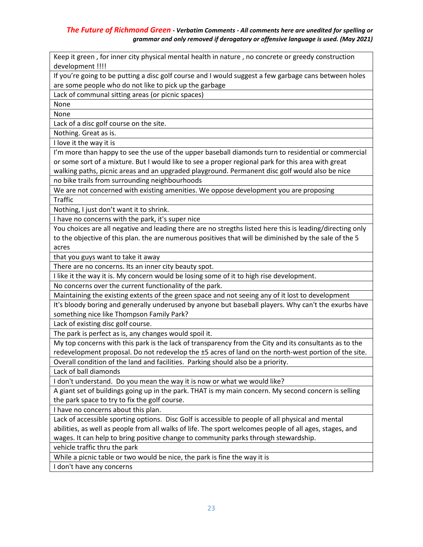Keep it green , for inner city physical mental health in nature , no concrete or greedy construction development !!!! If you're going to be putting a disc golf course and I would suggest a few garbage cans between holes are some people who do not like to pick up the garbage Lack of communal sitting areas (or picnic spaces) None None Lack of a disc golf course on the site. Nothing. Great as is. I love it the way it is I'm more than happy to see the use of the upper baseball diamonds turn to residential or commercial or some sort of a mixture. But I would like to see a proper regional park for this area with great walking paths, picnic areas and an upgraded playground. Permanent disc golf would also be nice no bike trails from surrounding neighbourhoods We are not concerned with existing amenities. We oppose development you are proposing **Traffic** Nothing, I just don't want it to shrink. I have no concerns with the park, it's super nice You choices are all negative and leading there are no stregths listed here this is leading/directing only to the objective of this plan. the are numerous positives that will be diminished by the sale of the 5 acres that you guys want to take it away There are no concerns. Its an inner city beauty spot. I like it the way it is. My concern would be losing some of it to high rise development. No concerns over the current functionality of the park. Maintaining the existing extents of the green space and not seeing any of it lost to development It's bloody boring and generally underused by anyone but baseball players. Why can't the exurbs have something nice like Thompson Family Park? Lack of existing disc golf course. The park is perfect as is, any changes would spoil it. My top concerns with this park is the lack of transparency from the City and its consultants as to the redevelopment proposal. Do not redevelop the ±5 acres of land on the north-west portion of the site. Overall condition of the land and facilities. Parking should also be a priority. Lack of ball diamonds I don't understand. Do you mean the way it is now or what we would like? A giant set of buildings going up in the park. THAT is my main concern. My second concern is selling the park space to try to fix the golf course. I have no concerns about this plan. Lack of accessible sporting options. Disc Golf is accessible to people of all physical and mental abilities, as well as people from all walks of life. The sport welcomes people of all ages, stages, and wages. It can help to bring positive change to community parks through stewardship. vehicle traffic thru the park While a picnic table or two would be nice, the park is fine the way it is I don't have any concerns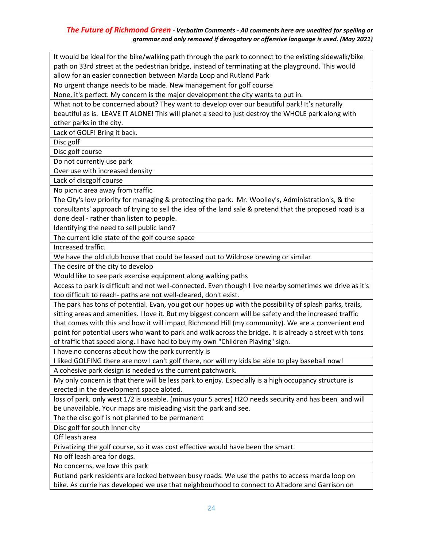It would be ideal for the bike/walking path through the park to connect to the existing sidewalk/bike path on 33rd street at the pedestrian bridge, instead of terminating at the playground. This would allow for an easier connection between Marda Loop and Rutland Park

No urgent change needs to be made. New management for golf course

None, it's perfect. My concern is the major development the city wants to put in.

What not to be concerned about? They want to develop over our beautiful park! It's naturally beautiful as is. LEAVE IT ALONE! This will planet a seed to just destroy the WHOLE park along with other parks in the city.

Lack of GOLF! Bring it back.

Disc golf

Disc golf course

Do not currently use park

Over use with increased density

Lack of discgolf course

No picnic area away from traffic

The City's low priority for managing & protecting the park. Mr. Woolley's, Administration's, & the consultants' approach of trying to sell the idea of the land sale & pretend that the proposed road is a done deal - rather than listen to people.

Identifying the need to sell public land?

The current idle state of the golf course space

Increased traffic.

We have the old club house that could be leased out to Wildrose brewing or similar

The desire of the city to develop

Would like to see park exercise equipment along walking paths

Access to park is difficult and not well-connected. Even though I live nearby sometimes we drive as it's too difficult to reach- paths are not well-cleared, don't exist.

The park has tons of potential. Evan, you got our hopes up with the possibility of splash parks, trails, sitting areas and amenities. I love it. But my biggest concern will be safety and the increased traffic that comes with this and how it will impact Richmond Hill (my community). We are a convenient end point for potential users who want to park and walk across the bridge. It is already a street with tons of traffic that speed along. I have had to buy my own "Children Playing" sign.

I have no concerns about how the park currently is

I liked GOLFING there are now I can't golf there, nor will my kids be able to play baseball now! A cohesive park design is needed vs the current patchwork.

My only concern is that there will be less park to enjoy. Especially is a high occupancy structure is erected in the development space aloted.

loss of park. only west 1/2 is useable. (minus your 5 acres) H2O needs security and has been and will be unavailable. Your maps are misleading visit the park and see.

The the disc golf is not planned to be permanent

Disc golf for south inner city

Off leash area

Privatizing the golf course, so it was cost effective would have been the smart.

No off leash area for dogs.

No concerns, we love this park

Rutland park residents are locked between busy roads. We use the paths to access marda loop on bike. As currie has developed we use that neighbourhood to connect to Altadore and Garrison on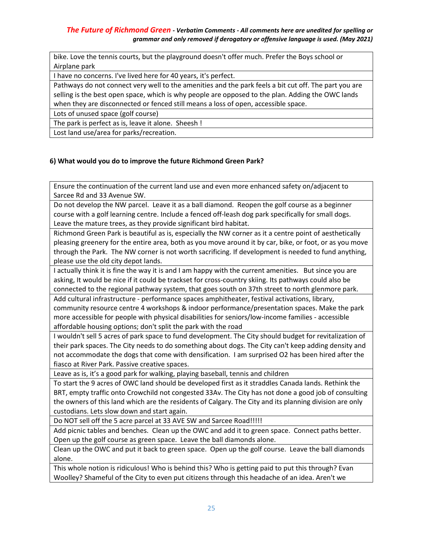bike. Love the tennis courts, but the playground doesn't offer much. Prefer the Boys school or Airplane park

I have no concerns. I've lived here for 40 years, it's perfect.

Pathways do not connect very well to the amenities and the park feels a bit cut off. The part you are selling is the best open space, which is why people are opposed to the plan. Adding the OWC lands when they are disconnected or fenced still means a loss of open, accessible space.

Lots of unused space (golf course)

The park is perfect as is, leave it alone. Sheesh !

Lost land use/area for parks/recreation.

#### **6) What would you do to improve the future Richmond Green Park?**

Ensure the continuation of the current land use and even more enhanced safety on/adjacent to Sarcee Rd and 33 Avenue SW.

Do not develop the NW parcel. Leave it as a ball diamond. Reopen the golf course as a beginner course with a golf learning centre. Include a fenced off-leash dog park specifically for small dogs. Leave the mature trees, as they provide significant bird habitat.

Richmond Green Park is beautiful as is, especially the NW corner as it a centre point of aesthetically pleasing greenery for the entire area, both as you move around it by car, bike, or foot, or as you move through the Park. The NW corner is not worth sacrificing. If development is needed to fund anything, please use the old city depot lands.

I actually think it is fine the way it is and I am happy with the current amenities. But since you are asking, It would be nice if it could be trackset for cross-country skiing. Its pathways could also be connected to the regional pathway system, that goes south on 37th street to north glenmore park.

Add cultural infrastructure - performance spaces amphitheater, festival activations, library, community resource centre 4 workshops & indoor performance/presentation spaces. Make the park more accessible for people with physical disabilities for seniors/low-income families - accessible affordable housing options; don't split the park with the road

I wouldn't sell 5 acres of park space to fund development. The City should budget for revitalization of their park spaces. The City needs to do something about dogs. The City can't keep adding density and not accommodate the dogs that come with densification. I am surprised O2 has been hired after the fiasco at River Park. Passive creative spaces.

Leave as is, it's a good park for walking, playing baseball, tennis and children

To start the 9 acres of OWC land should be developed first as it straddles Canada lands. Rethink the BRT, empty traffic onto Crowchild not congested 33Av. The City has not done a good job of consulting the owners of this land which are the residents of Calgary. The City and its planning division are only custodians. Lets slow down and start again.

Do NOT sell off the 5 acre parcel at 33 AVE SW and Sarcee Road!!!!!

Add picnic tables and benches. Clean up the OWC and add it to green space. Connect paths better. Open up the golf course as green space. Leave the ball diamonds alone.

Clean up the OWC and put it back to green space. Open up the golf course. Leave the ball diamonds alone.

This whole notion is ridiculous! Who is behind this? Who is getting paid to put this through? Evan Woolley? Shameful of the City to even put citizens through this headache of an idea. Aren't we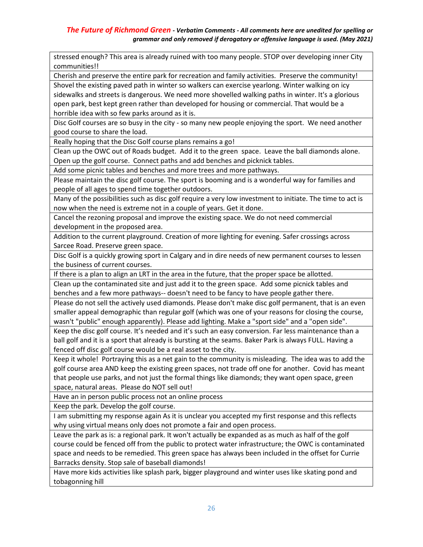stressed enough? This area is already ruined with too many people. STOP over developing inner City communities!!

Cherish and preserve the entire park for recreation and family activities. Preserve the community!

Shovel the existing paved path in winter so walkers can exercise yearlong. Winter walking on icy sidewalks and streets is dangerous. We need more shovelled walking paths in winter. It's a glorious open park, best kept green rather than developed for housing or commercial. That would be a horrible idea with so few parks around as it is.

Disc Golf courses are so busy in the city - so many new people enjoying the sport. We need another good course to share the load.

Really hoping that the Disc Golf course plans remains a go!

Clean up the OWC out of Roads budget. Add it to the green space. Leave the ball diamonds alone. Open up the golf course. Connect paths and add benches and picknick tables.

Add some picnic tables and benches and more trees and more pathways.

Please maintain the disc golf course. The sport is booming and is a wonderful way for families and people of all ages to spend time together outdoors.

Many of the possibilities such as disc golf require a very low investment to initiate. The time to act is now when the need is extreme not in a couple of years. Get it done.

Cancel the rezoning proposal and improve the existing space. We do not need commercial development in the proposed area.

Addition to the current playground. Creation of more lighting for evening. Safer crossings across Sarcee Road. Preserve green space.

Disc Golf is a quickly growing sport in Calgary and in dire needs of new permanent courses to lessen the business of current courses.

If there is a plan to align an LRT in the area in the future, that the proper space be allotted.

Clean up the contaminated site and just add it to the green space. Add some picnick tables and benches and a few more pathways-- doesn't need to be fancy to have people gather there.

Please do not sell the actively used diamonds. Please don't make disc golf permanent, that is an even smaller appeal demographic than regular golf (which was one of your reasons for closing the course, wasn't "public" enough apparently). Please add lighting. Make a "sport side" and a "open side".

Keep the disc golf course. It's needed and it's such an easy conversion. Far less maintenance than a ball golf and it is a sport that already is bursting at the seams. Baker Park is always FULL. Having a fenced off disc golf course would be a real asset to the city.

Keep it whole! Portraying this as a net gain to the community is misleading. The idea was to add the golf course area AND keep the existing green spaces, not trade off one for another. Covid has meant that people use parks, and not just the formal things like diamonds; they want open space, green space, natural areas. Please do NOT sell out!

Have an in person public process not an online process

Keep the park. Develop the golf course.

I am submitting my response again As it is unclear you accepted my first response and this reflects why using virtual means only does not promote a fair and open process.

Leave the park as is: a regional park. It won't actually be expanded as as much as half of the golf course could be fenced off from the public to protect water infrastructure; the OWC is contaminated space and needs to be remedied. This green space has always been included in the offset for Currie Barracks density. Stop sale of baseball diamonds!

Have more kids activities like splash park, bigger playground and winter uses like skating pond and tobagonning hill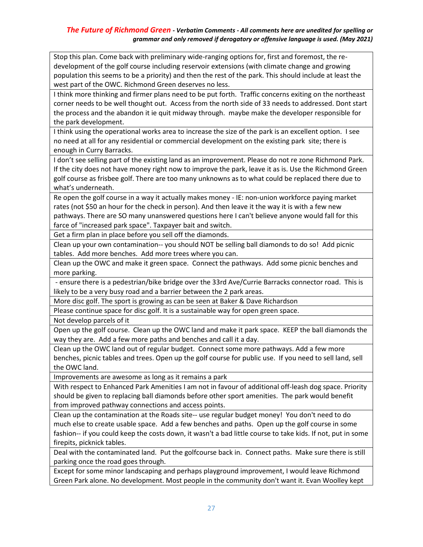Stop this plan. Come back with preliminary wide-ranging options for, first and foremost, the redevelopment of the golf course including reservoir extensions (with climate change and growing population this seems to be a priority) and then the rest of the park. This should include at least the west part of the OWC. Richmond Green deserves no less.

I think more thinking and firmer plans need to be put forth. Traffic concerns exiting on the northeast corner needs to be well thought out. Access from the north side of 33 needs to addressed. Dont start the process and the abandon it ie quit midway through. maybe make the developer responsible for the park development.

I think using the operational works area to increase the size of the park is an excellent option. I see no need at all for any residential or commercial development on the existing park site; there is enough in Curry Barracks.

I don't see selling part of the existing land as an improvement. Please do not re zone Richmond Park. If the city does not have money right now to improve the park, leave it as is. Use the Richmond Green golf course as frisbee golf. There are too many unknowns as to what could be replaced there due to what's underneath.

Re open the golf course in a way it actually makes money - IE: non-union workforce paying market rates (not \$50 an hour for the check in person). And then leave it the way it is with a few new pathways. There are SO many unanswered questions here I can't believe anyone would fall for this farce of "increased park space". Taxpayer bait and switch.

Get a firm plan in place before you sell off the diamonds.

Clean up your own contamination-- you should NOT be selling ball diamonds to do so! Add picnic tables. Add more benches. Add more trees where you can.

Clean up the OWC and make it green space. Connect the pathways. Add some picnic benches and more parking.

- ensure there is a pedestrian/bike bridge over the 33rd Ave/Currie Barracks connector road. This is likely to be a very busy road and a barrier between the 2 park areas.

More disc golf. The sport is growing as can be seen at Baker & Dave Richardson

Please continue space for disc golf. It is a sustainable way for open green space.

Not develop parcels of it

Open up the golf course. Clean up the OWC land and make it park space. KEEP the ball diamonds the way they are. Add a few more paths and benches and call it a day.

Clean up the OWC land out of regular budget. Connect some more pathways. Add a few more benches, picnic tables and trees. Open up the golf course for public use. If you need to sell land, sell the OWC land.

Improvements are awesome as long as it remains a park

With respect to Enhanced Park Amenities I am not in favour of additional off-leash dog space. Priority should be given to replacing ball diamonds before other sport amenities. The park would benefit from improved pathway connections and access points.

Clean up the contamination at the Roads site-- use regular budget money! You don't need to do much else to create usable space. Add a few benches and paths. Open up the golf course in some fashion-- if you could keep the costs down, it wasn't a bad little course to take kids. If not, put in some firepits, picknick tables.

Deal with the contaminated land. Put the golfcourse back in. Connect paths. Make sure there is still parking once the road goes through.

Except for some minor landscaping and perhaps playground improvement, I would leave Richmond Green Park alone. No development. Most people in the community don't want it. Evan Woolley kept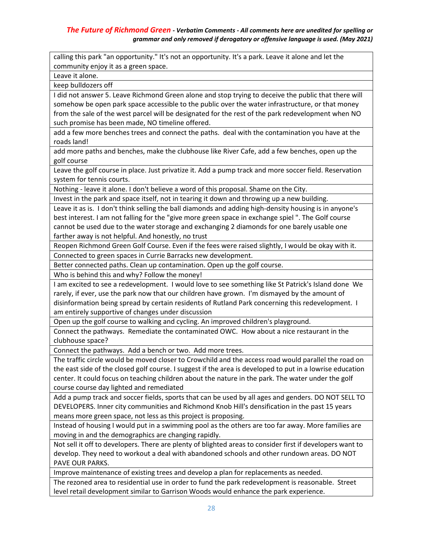calling this park "an opportunity." It's not an opportunity. It's a park. Leave it alone and let the community enjoy it as a green space.

Leave it alone.

keep bulldozers off

I did not answer 5. Leave Richmond Green alone and stop trying to deceive the public that there will somehow be open park space accessible to the public over the water infrastructure, or that money from the sale of the west parcel will be designated for the rest of the park redevelopment when NO such promise has been made, NO timeline offered.

add a few more benches trees and connect the paths. deal with the contamination you have at the roads land!

add more paths and benches, make the clubhouse like River Cafe, add a few benches, open up the golf course

Leave the golf course in place. Just privatize it. Add a pump track and more soccer field. Reservation system for tennis courts.

Nothing - leave it alone. I don't believe a word of this proposal. Shame on the City.

Invest in the park and space itself, not in tearing it down and throwing up a new building.

Leave it as is. I don't think selling the ball diamonds and adding high-density housing is in anyone's best interest. I am not falling for the "give more green space in exchange spiel ". The Golf course cannot be used due to the water storage and exchanging 2 diamonds for one barely usable one farther away is not helpful. And honestly, no trust

Reopen Richmond Green Golf Course. Even if the fees were raised slightly, I would be okay with it.

Connected to green spaces in Currie Barracks new development.

Better connected paths. Clean up contamination. Open up the golf course.

Who is behind this and why? Follow the money!

I am excited to see a redevelopment. I would love to see something like St Patrick's Island done We rarely, if ever, use the park now that our children have grown. I'm dismayed by the amount of disinformation being spread by certain residents of Rutland Park concerning this redevelopment. I am entirely supportive of changes under discussion

Open up the golf course to walking and cycling. An improved children's playground.

Connect the pathways. Remediate the contaminated OWC. How about a nice restaurant in the clubhouse space?

Connect the pathways. Add a bench or two. Add more trees.

The traffic circle would be moved closer to Crowchild and the access road would parallel the road on the east side of the closed golf course. I suggest if the area is developed to put in a lowrise education center. It could focus on teaching children about the nature in the park. The water under the golf course course day lighted and remediated

Add a pump track and soccer fields, sports that can be used by all ages and genders. DO NOT SELL TO DEVELOPERS. Inner city communities and Richmond Knob Hill's densification in the past 15 years means more green space, not less as this project is proposing.

Instead of housing I would put in a swimming pool as the others are too far away. More families are moving in and the demographics are changing rapidly.

Not sell it off to developers. There are plenty of blighted areas to consider first if developers want to develop. They need to workout a deal with abandoned schools and other rundown areas. DO NOT PAVE OUR PARKS.

Improve maintenance of existing trees and develop a plan for replacements as needed.

The rezoned area to residential use in order to fund the park redevelopment is reasonable. Street level retail development similar to Garrison Woods would enhance the park experience.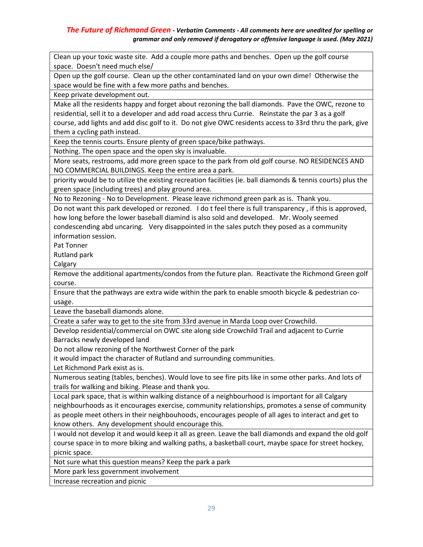Clean up your toxic waste site. Add a couple more paths and benches. Open up the golf course space. Doesn't need much else/

Open up the golf course. Clean up the other contaminated land on your own dime! Otherwise the space would be fine with a few more paths and benches.

Keep private development out.

Make all the residents happy and forget about rezoning the ball diamonds. Pave the OWC, rezone to residential, sell it to a developer and add road access thru Currie. Reinstate the par 3 as a golf course, add lights and add disc golf to it. Do not give OWC residents access to 33rd thru the park, give them a cycling path instead.

Keep the tennis courts. Ensure plenty of green space/bike pathways.

Nothing. The open space and the open sky is invaluable.

More seats, restrooms, add more green space to the park from old golf course. NO RESIDENCES AND NO COMMERCIAL BUILDINGS. Keep the entire area a park.

priority would be to utilize the existing recreation facilities (ie. ball diamonds & tennis courts) plus the green space (including trees) and play ground area.

No to Rezoning - No to Development. Please leave richmond green park as is. Thank you.

Do not want this park developed or rezoned. I do t feel there is full transparency , if this is approved, how long before the lower baseball diamind is also sold and developed. Mr. Wooly seemed condescending abd uncaring. Very disappointed in the sales putch they posed as a community information session.

Pat Tonner

Rutland park

Calgary

Remove the additional apartments/condos from the future plan. Reactivate the Richmond Green golf course.

Ensure that the pathways are extra wide within the park to enable smooth bicycle & pedestrian cousage.

Leave the baseball diamonds alone.

Create a safer way to get to the site from 33rd avenue in Marda Loop over Crowchild.

Develop residential/commercial on OWC site along side Crowchild Trail and adjacent to Currie Barracks newly developed land

Do not allow rezoning of the Northwest Corner of the park

it would impact the character of Rutland and surrounding communities.

Let Richmond Park exist as is.

Numerous seating (tables, benches). Would love to see fire pits like in some other parks. And lots of trails for walking and biking. Please and thank you.

Local park space, that is within walking distance of a neighbourhood is important for all Calgary neighbourhoods as it encourages exercise, community relationships, promotes a sense of community as people meet others in their neighbouhoods, encourages people of all ages to interact and get to know others. Any development should encourage this.

I would not develop it and would keep it all as green. Leave the ball diamonds and expand the old golf course space in to more biking and walking paths, a basketball court, maybe space for street hockey, picnic space.

Not sure what this question means? Keep the park a park

More park less government involvement

Increase recreation and picnic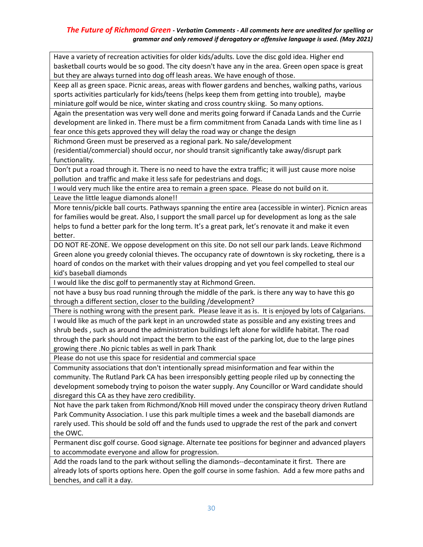Have a variety of recreation activities for older kids/adults. Love the disc gold idea. Higher end basketball courts would be so good. The city doesn't have any in the area. Green open space is great but they are always turned into dog off leash areas. We have enough of those.

Keep all as green space. Picnic areas, areas with flower gardens and benches, walking paths, various sports activities particularly for kids/teens (helps keep them from getting into trouble), maybe miniature golf would be nice, winter skating and cross country skiing. So many options.

Again the presentation was very well done and merits going forward if Canada Lands and the Currie development are linked in. There must be a firm commitment from Canada Lands with time line as I fear once this gets approved they will delay the road way or change the design

Richmond Green must be preserved as a regional park. No sale/development

(residential/commercial) should occur, nor should transit significantly take away/disrupt park functionality.

Don't put a road through it. There is no need to have the extra traffic; it will just cause more noise pollution and traffic and make it less safe for pedestrians and dogs.

I would very much like the entire area to remain a green space. Please do not build on it. Leave the little league diamonds alone!!

More tennis/pickle ball courts. Pathways spanning the entire area (accessible in winter). Picnicn areas for families would be great. Also, I support the small parcel up for development as long as the sale helps to fund a better park for the long term. It's a great park, let's renovate it and make it even better.

DO NOT RE-ZONE. We oppose development on this site. Do not sell our park lands. Leave Richmond Green alone you greedy colonial thieves. The occupancy rate of downtown is sky rocketing, there is a hoard of condos on the market with their values dropping and yet you feel compelled to steal our kid's baseball diamonds

I would like the disc golf to permanently stay at Richmond Green.

not have a busy bus road running through the middle of the park. is there any way to have this go through a different section, closer to the building /development?

There is nothing wrong with the present park. Please leave it as is. It is enjoyed by lots of Calgarians. I would like as much of the park kept in an uncrowded state as possible and any existing trees and shrub beds , such as around the administration buildings left alone for wildlife habitat. The road through the park should not impact the berm to the east of the parking lot, due to the large pines growing there .No picnic tables as well in park Thank

Please do not use this space for residential and commercial space

Community associations that don't intentionally spread misinformation and fear within the community. The Rutland Park CA has been irresponsibly getting people riled up by connecting the development somebody trying to poison the water supply. Any Councillor or Ward candidate should disregard this CA as they have zero credibility.

Not have the park taken from Richmond/Knob Hill moved under the conspiracy theory driven Rutland Park Community Association. I use this park multiple times a week and the baseball diamonds are rarely used. This should be sold off and the funds used to upgrade the rest of the park and convert the OWC.

Permanent disc golf course. Good signage. Alternate tee positions for beginner and advanced players to accommodate everyone and allow for progression.

Add the roads land to the park without selling the diamonds--decontaminate it first. There are already lots of sports options here. Open the golf course in some fashion. Add a few more paths and benches, and call it a day.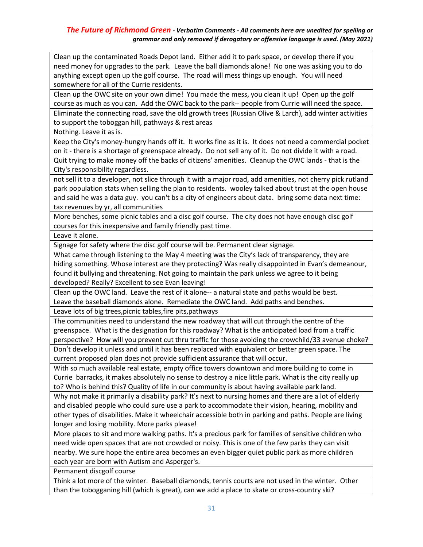Clean up the contaminated Roads Depot land. Either add it to park space, or develop there if you need money for upgrades to the park. Leave the ball diamonds alone! No one was asking you to do anything except open up the golf course. The road will mess things up enough. You will need somewhere for all of the Currie residents.

Clean up the OWC site on your own dime! You made the mess, you clean it up! Open up the golf course as much as you can. Add the OWC back to the park-- people from Currie will need the space. Eliminate the connecting road, save the old growth trees (Russian Olive & Larch), add winter activities to support the toboggan hill, pathways & rest areas

Nothing. Leave it as is.

Keep the City's money-hungry hands off it. It works fine as it is. It does not need a commercial pocket on it - there is a shortage of greenspace already. Do not sell any of it. Do not divide it with a road. Quit trying to make money off the backs of citizens' amenities. Cleanup the OWC lands - that is the City's responsibility regardless.

not sell it to a developer, not slice through it with a major road, add amenities, not cherry pick rutland park population stats when selling the plan to residents. wooley talked about trust at the open house and said he was a data guy. you can't bs a city of engineers about data. bring some data next time: tax revenues by yr, all communities

More benches, some picnic tables and a disc golf course. The city does not have enough disc golf courses for this inexpensive and family friendly past time.

Leave it alone.

Signage for safety where the disc golf course will be. Permanent clear signage.

What came through listening to the May 4 meeting was the City's lack of transparency, they are hiding something. Whose interest are they protecting? Was really disappointed in Evan's demeanour, found it bullying and threatening. Not going to maintain the park unless we agree to it being developed? Really? Excellent to see Evan leaving!

Clean up the OWC land. Leave the rest of it alone-- a natural state and paths would be best. Leave the baseball diamonds alone. Remediate the OWC land. Add paths and benches.

Leave lots of big trees,picnic tables,fire pits,pathways

The communities need to understand the new roadway that will cut through the centre of the greenspace. What is the designation for this roadway? What is the anticipated load from a traffic perspective? How will you prevent cut thru traffic for those avoiding the crowchild/33 avenue choke?

Don't develop it unless and until it has been replaced with equivalent or better green space. The current proposed plan does not provide sufficient assurance that will occur.

With so much available real estate, empty office towers downtown and more building to come in Currie barracks, it makes absolutely no sense to destroy a nice little park. What is the city really up to? Who is behind this? Quality of life in our community is about having available park land.

Why not make it primarily a disability park? It's next to nursing homes and there are a lot of elderly and disabled people who could sure use a park to accommodate their vision, hearing, mobility and other types of disabilities. Make it wheelchair accessible both in parking and paths. People are living longer and losing mobility. More parks please!

More places to sit and more walking paths. It's a precious park for families of sensitive children who need wide open spaces that are not crowded or noisy. This is one of the few parks they can visit nearby. We sure hope the entire area becomes an even bigger quiet public park as more children each year are born with Autism and Asperger's.

Permanent discgolf course

Think a lot more of the winter. Baseball diamonds, tennis courts are not used in the winter. Other than the tobogganing hill (which is great), can we add a place to skate or cross-country ski?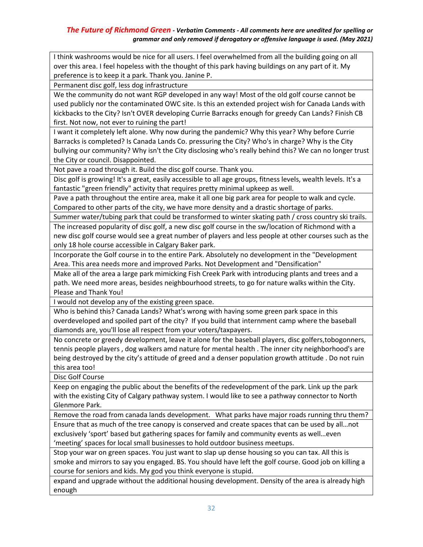I think washrooms would be nice for all users. I feel overwhelmed from all the building going on all over this area. I feel hopeless with the thought of this park having buildings on any part of it. My preference is to keep it a park. Thank you. Janine P.

Permanent disc golf, less dog infrastructure

We the community do not want RGP developed in any way! Most of the old golf course cannot be used publicly nor the contaminated OWC site. Is this an extended project wish for Canada Lands with kickbacks to the City? Isn't OVER developing Currie Barracks enough for greedy Can Lands? Finish CB first. Not now, not ever to ruining the part!

I want it completely left alone. Why now during the pandemic? Why this year? Why before Currie Barracks is completed? Is Canada Lands Co. pressuring the City? Who's in charge? Why is the City bullying our community? Why isn't the City disclosing who's really behind this? We can no longer trust the City or council. Disappointed.

Not pave a road through it. Build the disc golf course. Thank you.

Disc golf is growing! It's a great, easily accessible to all age groups, fitness levels, wealth levels. It's a fantastic "green friendly" activity that requires pretty minimal upkeep as well.

Pave a path throughout the entire area, make it all one big park area for people to walk and cycle. Compared to other parts of the city, we have more density and a drastic shortage of parks.

Summer water/tubing park that could be transformed to winter skating path / cross country ski trails. The increased popularity of disc golf, a new disc golf course in the sw/location of Richmond with a new disc golf course would see a great number of players and less people at other courses such as the only 18 hole course accessible in Calgary Baker park.

Incorporate the Golf course in to the entire Park. Absolutely no development in the "Development Area. This area needs more and improved Parks. Not Development and "Densification"

Make all of the area a large park mimicking Fish Creek Park with introducing plants and trees and a path. We need more areas, besides neighbourhood streets, to go for nature walks within the City. Please and Thank You!

I would not develop any of the existing green space.

Who is behind this? Canada Lands? What's wrong with having some green park space in this overdeveloped and spoiled part of the city? If you build that internment camp where the baseball diamonds are, you'll lose all respect from your voters/taxpayers.

No concrete or greedy development, leave it alone for the baseball players, disc golfers,tobogonners, tennis people players , dog walkers amd nature for mental health . The inner city neighborhood's are being destroyed by the city's attitude of greed and a denser population growth attitude . Do not ruin this area too!

Disc Golf Course

Keep on engaging the public about the benefits of the redevelopment of the park. Link up the park with the existing City of Calgary pathway system. I would like to see a pathway connector to North Glenmore Park.

Remove the road from canada lands development. What parks have major roads running thru them? Ensure that as much of the tree canopy is conserved and create spaces that can be used by all…not exclusively 'sport' based but gathering spaces for family and community events as well…even 'meeting' spaces for local small businesses to hold outdoor business meetups.

Stop your war on green spaces. You just want to slap up dense housing so you can tax. All this is smoke and mirrors to say you engaged. BS. You should have left the golf course. Good job on killing a course for seniors and kids. My god you think everyone is stupid.

expand and upgrade without the additional housing development. Density of the area is already high enough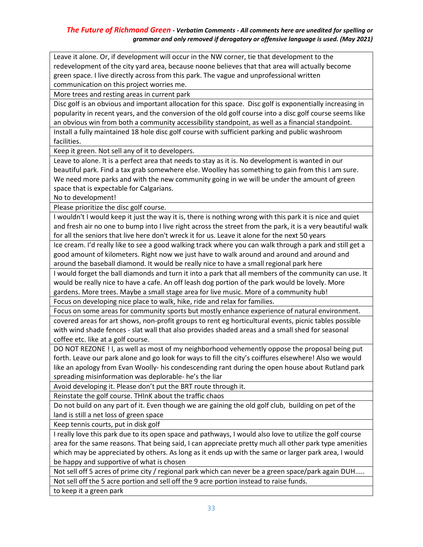Leave it alone. Or, if development will occur in the NW corner, tie that development to the redevelopment of the city yard area, because noone believes that that area will actually become green space. I live directly across from this park. The vague and unprofessional written communication on this project worries me.

More trees and resting areas in current park

Disc golf is an obvious and important allocation for this space. Disc golf is exponentially increasing in popularity in recent years, and the conversion of the old golf course into a disc golf course seems like an obvious win from both a community accessibility standpoint, as well as a financial standpoint.

Install a fully maintained 18 hole disc golf course with sufficient parking and public washroom facilities.

Keep it green. Not sell any of it to developers.

Leave to alone. It is a perfect area that needs to stay as it is. No development is wanted in our beautiful park. Find a tax grab somewhere else. Woolley has something to gain from this I am sure. We need more parks and with the new community going in we will be under the amount of green space that is expectable for Calgarians.

No to development!

Please prioritize the disc golf course.

I wouldn't I would keep it just the way it is, there is nothing wrong with this park it is nice and quiet and fresh air no one to bump into I live right across the street from the park, it is a very beautiful walk for all the seniors that live here don't wreck it for us. Leave it alone for the next 50 years

Ice cream. I'd really like to see a good walking track where you can walk through a park and still get a good amount of kilometers. Right now we just have to walk around and around and around and around the baseball diamond. It would be really nice to have a small regional park here

I would forget the ball diamonds and turn it into a park that all members of the community can use. It would be really nice to have a cafe. An off leash dog portion of the park would be lovely. More gardens. More trees. Maybe a small stage area for live music. More of a community hub!

Focus on developing nice place to walk, hike, ride and relax for families.

Focus on some areas for community sports but mostly enhance experience of natural environment. covered areas for art shows, non-profit groups to rent eg horticultural events, picnic tables possible with wind shade fences - slat wall that also provides shaded areas and a small shed for seasonal coffee etc. like at a golf course.

DO NOT REZONE ! I, as well as most of my neighborhood vehemently oppose the proposal being put forth. Leave our park alone and go look for ways to fill the city's coiffures elsewhere! Also we would like an apology from Evan Woolly- his condescending rant during the open house about Rutland park spreading misinformation was deplorable- he's the liar

Avoid developing it. Please don't put the BRT route through it.

Reinstate the golf course. THInK about the traffic chaos

Do not build on any part of it. Even though we are gaining the old golf club, building on pet of the land is still a net loss of green space

Keep tennis courts, put in disk golf

I really love this park due to its open space and pathways, I would also love to utilize the golf course area for the same reasons. That being said, I can appreciate pretty much all other park type amenities which may be appreciated by others. As long as it ends up with the same or larger park area, I would be happy and supportive of what is chosen

Not sell off 5 acres of prime city / regional park which can never be a green space/park again DUH..... Not sell off the 5 acre portion and sell off the 9 acre portion instead to raise funds.

to keep it a green park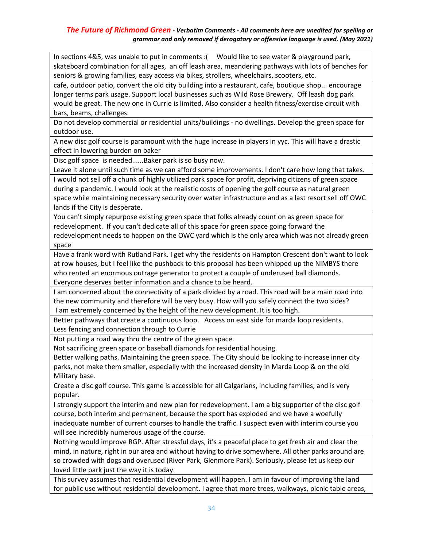In sections 4&5, was unable to put in comments :( Would like to see water & playground park, skateboard combination for all ages, an off leash area, meandering pathways with lots of benches for seniors & growing families, easy access via bikes, strollers, wheelchairs, scooters, etc.

cafe, outdoor patio, convert the old city building into a restaurant, cafe, boutique shop... encourage longer terms park usage. Support local businesses such as Wild Rose Brewery. Off leash dog park would be great. The new one in Currie is limited. Also consider a health fitness/exercise circuit with bars, beams, challenges.

Do not develop commercial or residential units/buildings - no dwellings. Develop the green space for outdoor use.

A new disc golf course is paramount with the huge increase in players in yyc. This will have a drastic effect in lowering burden on baker

Disc golf space is needed......Baker park is so busy now.

Leave it alone until such time as we can afford some improvements. I don't care how long that takes.

I would not sell off a chunk of highly utilized park space for profit, depriving citizens of green space during a pandemic. I would look at the realistic costs of opening the golf course as natural green space while maintaining necessary security over water infrastructure and as a last resort sell off OWC lands if the City is desperate.

You can't simply repurpose existing green space that folks already count on as green space for redevelopment. If you can't dedicate all of this space for green space going forward the redevelopment needs to happen on the OWC yard which is the only area which was not already green space

Have a frank word with Rutland Park. I get why the residents on Hampton Crescent don't want to look at row houses, but I feel like the pushback to this proposal has been whipped up the NIMBYS there who rented an enormous outrage generator to protect a couple of underused ball diamonds. Everyone deserves better information and a chance to be heard.

I am concerned about the connectivity of a park divided by a road. This road will be a main road into the new community and therefore will be very busy. How will you safely connect the two sides? I am extremely concerned by the height of the new development. It is too high.

Better pathways that create a continuous loop. Access on east side for marda loop residents. Less fencing and connection through to Currie

Not putting a road way thru the centre of the green space.

Not sacrificing green space or baseball diamonds for residential housing.

Better walking paths. Maintaining the green space. The City should be looking to increase inner city parks, not make them smaller, especially with the increased density in Marda Loop & on the old Military base.

Create a disc golf course. This game is accessible for all Calgarians, including families, and is very popular.

I strongly support the interim and new plan for redevelopment. I am a big supporter of the disc golf course, both interim and permanent, because the sport has exploded and we have a woefully inadequate number of current courses to handle the traffic. I suspect even with interim course you will see incredibly numerous usage of the course.

Nothing would improve RGP. After stressful days, it's a peaceful place to get fresh air and clear the mind, in nature, right in our area and without having to drive somewhere. All other parks around are so crowded with dogs and overused (River Park, Glenmore Park). Seriously, please let us keep our loved little park just the way it is today.

This survey assumes that residential development will happen. I am in favour of improving the land for public use without residential development. I agree that more trees, walkways, picnic table areas,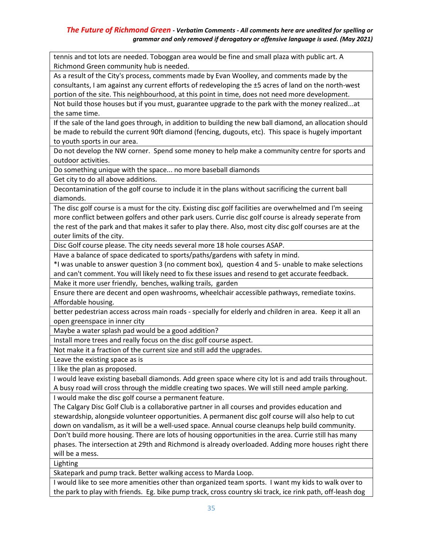tennis and tot lots are needed. Toboggan area would be fine and small plaza with public art. A Richmond Green community hub is needed.

As a result of the City's process, comments made by Evan Woolley, and comments made by the consultants, I am against any current efforts of redeveloping the ±5 acres of land on the north-west portion of the site. This neighbourhood, at this point in time, does not need more development.

Not build those houses but if you must, guarantee upgrade to the park with the money realized...at the same time.

If the sale of the land goes through, in addition to building the new ball diamond, an allocation should be made to rebuild the current 90ft diamond (fencing, dugouts, etc). This space is hugely important to youth sports in our area.

Do not develop the NW corner. Spend some money to help make a community centre for sports and outdoor activities.

Do something unique with the space... no more baseball diamonds

Get city to do all above additions.

Decontamination of the golf course to include it in the plans without sacrificing the current ball diamonds.

The disc golf course is a must for the city. Existing disc golf facilities are overwhelmed and I'm seeing more conflict between golfers and other park users. Currie disc golf course is already seperate from the rest of the park and that makes it safer to play there. Also, most city disc golf courses are at the outer limits of the city.

Disc Golf course please. The city needs several more 18 hole courses ASAP.

Have a balance of space dedicated to sports/paths/gardens with safety in mind.

\*I was unable to answer question 3 (no comment box), question 4 and 5- unable to make selections and can't comment. You will likely need to fix these issues and resend to get accurate feedback.

Make it more user friendly, benches, walking trails, garden

Ensure there are decent and open washrooms, wheelchair accessible pathways, remediate toxins. Affordable housing.

better pedestrian access across main roads - specially for elderly and children in area. Keep it all an open greenspace in inner city

Maybe a water splash pad would be a good addition?

Install more trees and really focus on the disc golf course aspect.

Not make it a fraction of the current size and still add the upgrades.

Leave the existing space as is

I like the plan as proposed.

I would leave existing baseball diamonds. Add green space where city lot is and add trails throughout. A busy road will cross through the middle creating two spaces. We will still need ample parking.

I would make the disc golf course a permanent feature.

The Calgary Disc Golf Club is a collaborative partner in all courses and provides education and stewardship, alongside volunteer opportunities. A permanent disc golf course will also help to cut down on vandalism, as it will be a well-used space. Annual course cleanups help build community.

Don't build more housing. There are lots of housing opportunities in the area. Currie still has many phases. The intersection at 29th and Richmond is already overloaded. Adding more houses right there will be a mess.

Lighting

Skatepark and pump track. Better walking access to Marda Loop.

I would like to see more amenities other than organized team sports. I want my kids to walk over to the park to play with friends. Eg. bike pump track, cross country ski track, ice rink path, off-leash dog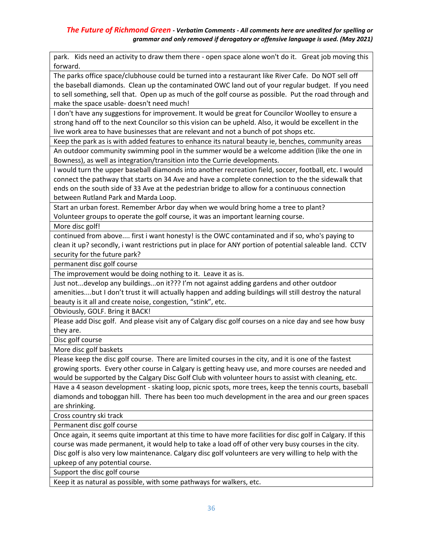park. Kids need an activity to draw them there - open space alone won't do it. Great job moving this forward.

The parks office space/clubhouse could be turned into a restaurant like River Cafe. Do NOT sell off the baseball diamonds. Clean up the contaminated OWC land out of your regular budget. If you need to sell something, sell that. Open up as much of the golf course as possible. Put the road through and make the space usable- doesn't need much!

I don't have any suggestions for improvement. It would be great for Councilor Woolley to ensure a strong hand off to the next Councilor so this vision can be upheld. Also, it would be excellent in the live work area to have businesses that are relevant and not a bunch of pot shops etc.

Keep the park as is with added features to enhance its natural beauty ie, benches, community areas

An outdoor community swimming pool in the summer would be a welcome addition (like the one in Bowness), as well as integration/transition into the Currie developments.

I would turn the upper baseball diamonds into another recreation field, soccer, football, etc. I would connect the pathway that starts on 34 Ave and have a complete connection to the the sidewalk that ends on the south side of 33 Ave at the pedestrian bridge to allow for a continuous connection between Rutland Park and Marda Loop.

Start an urban forest. Remember Arbor day when we would bring home a tree to plant? Volunteer groups to operate the golf course, it was an important learning course.

More disc golf!

continued from above.... first i want honesty! is the OWC contaminated and if so, who's paying to clean it up? secondly, i want restrictions put in place for ANY portion of potential saleable land. CCTV security for the future park?

permanent disc golf course

The improvement would be doing nothing to it. Leave it as is.

Just not...develop any buildings...on it??? I'm not against adding gardens and other outdoor amenities....but I don't trust it will actually happen and adding buildings will still destroy the natural beauty is it all and create noise, congestion, "stink", etc.

Obviously, GOLF. Bring it BACK!

Please add Disc golf. And please visit any of Calgary disc golf courses on a nice day and see how busy they are.

Disc golf course

More disc golf baskets

Please keep the disc golf course. There are limited courses in the city, and it is one of the fastest growing sports. Every other course in Calgary is getting heavy use, and more courses are needed and would be supported by the Calgary Disc Golf Club with volunteer hours to assist with cleaning, etc.

Have a 4 season development - skating loop, picnic spots, more trees, keep the tennis courts, baseball diamonds and toboggan hill. There has been too much development in the area and our green spaces are shrinking.

Cross country ski track

Permanent disc golf course

Once again, it seems quite important at this time to have more facilities for disc golf in Calgary. If this course was made permanent, it would help to take a load off of other very busy courses in the city. Disc golf is also very low maintenance. Calgary disc golf volunteers are very willing to help with the upkeep of any potential course.

Support the disc golf course

Keep it as natural as possible, with some pathways for walkers, etc.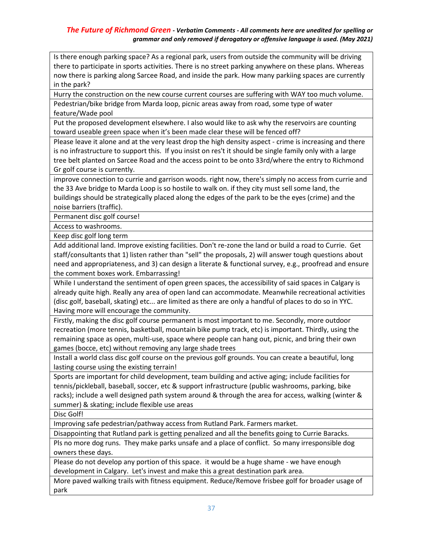Is there enough parking space? As a regional park, users from outside the community will be driving there to participate in sports activities. There is no street parking anywhere on these plans. Whereas now there is parking along Sarcee Road, and inside the park. How many parkiing spaces are currently in the park?

Hurry the construction on the new course current courses are suffering with WAY too much volume. Pedestrian/bike bridge from Marda loop, picnic areas away from road, some type of water feature/Wade pool

Put the proposed development elsewhere. I also would like to ask why the reservoirs are counting toward useable green space when it's been made clear these will be fenced off?

Please leave it alone and at the very least drop the high density aspect - crime is increasing and there is no infrastructure to support this. If you insist on res't it should be single family only with a large tree belt planted on Sarcee Road and the access point to be onto 33rd/where the entry to Richmond Gr golf course is currently.

improve connection to currie and garrison woods. right now, there's simply no access from currie and the 33 Ave bridge to Marda Loop is so hostile to walk on. if they city must sell some land, the buildings should be strategically placed along the edges of the park to be the eyes (crime) and the noise barriers (traffic).

Permanent disc golf course!

Access to washrooms.

Keep disc golf long term

Add additional land. Improve existing facilities. Don't re-zone the land or build a road to Currie. Get staff/consultants that 1) listen rather than "sell" the proposals, 2) will answer tough questions about need and appropriateness, and 3) can design a literate & functional survey, e.g., proofread and ensure the comment boxes work. Embarrassing!

While I understand the sentiment of open green spaces, the accessibility of said spaces in Calgary is already quite high. Really any area of open land can accommodate. Meanwhile recreational activities (disc golf, baseball, skating) etc... are limited as there are only a handful of places to do so in YYC. Having more will encourage the community.

Firstly, making the disc golf course permanent is most important to me. Secondly, more outdoor recreation (more tennis, basketball, mountain bike pump track, etc) is important. Thirdly, using the remaining space as open, multi-use, space where people can hang out, picnic, and bring their own games (bocce, etc) without removing any large shade trees

Install a world class disc golf course on the previous golf grounds. You can create a beautiful, long lasting course using the existing terrain!

Sports are important for child development, team building and active aging; include facilities for tennis/pickleball, baseball, soccer, etc & support infrastructure (public washrooms, parking, bike racks); include a well designed path system around & through the area for access, walking (winter & summer) & skating; include flexible use areas

Disc Golf!

Improving safe pedestrian/pathway access from Rutland Park. Farmers market.

Disappointing that Rutland park is getting penalized and all the benefits going to Currie Baracks.

Pls no more dog runs. They make parks unsafe and a place of conflict. So many irresponsible dog owners these days.

Please do not develop any portion of this space. it would be a huge shame - we have enough development in Calgary. Let's invest and make this a great destination park area.

More paved walking trails with fitness equipment. Reduce/Remove frisbee golf for broader usage of park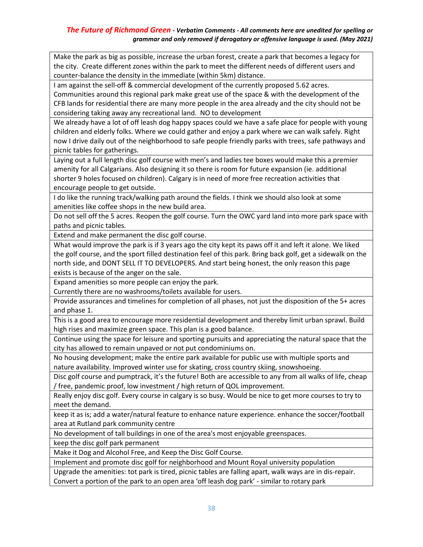Make the park as big as possible, increase the urban forest, create a park that becomes a legacy for the city. Create different zones within the park to meet the different needs of different users and counter-balance the density in the immediate (within 5km) distance.

I am against the sell-off & commercial development of the currently proposed 5.62 acres.

Communities around this regional park make great use of the space & with the development of the CFB lands for residential there are many more people in the area already and the city should not be considering taking away any recreational land. NO to development

We already have a lot of off leash dog happy spaces could we have a safe place for people with young children and elderly folks. Where we could gather and enjoy a park where we can walk safely. Right now I drive daily out of the neighborhood to safe people friendly parks with trees, safe pathways and picnic tables for gatherings.

Laying out a full length disc golf course with men's and ladies tee boxes would make this a premier amenity for all Calgarians. Also designing it so there is room for future expansion (ie. additional shorter 9 holes focused on children). Calgary is in need of more free recreation activities that encourage people to get outside.

I do like the running track/walking path around the fields. I think we should also look at some amenities like coffee shops in the new build area.

Do not sell off the 5 acres. Reopen the golf course. Turn the OWC yard land into more park space with paths and picnic tables.

Extend and make permanent the disc golf course.

What would improve the park is if 3 years ago the city kept its paws off it and left it alone. We liked the golf course, and the sport filled destination feel of this park. Bring back golf, get a sidewalk on the north side, and DONT SELL IT TO DEVELOPERS. And start being honest, the only reason this page exists is because of the anger on the sale.

Expand amenities so more people can enjoy the park.

Currently there are no washrooms/toilets available for users.

Provide assurances and timelines for completion of all phases, not just the disposition of the 5+ acres and phase 1.

This is a good area to encourage more residential development and thereby limit urban sprawl. Build high rises and maximize green space. This plan is a good balance.

Continue using the space for leisure and sporting pursuits and appreciating the natural space that the city has allowed to remain unpaved or not put condominiums on.

No housing development; make the entire park available for public use with multiple sports and nature availability. Improved winter use for skating, cross country skiing, snowshoeing.

Disc golf course and pumptrack, it's the future! Both are accessible to any from all walks of life, cheap / free, pandemic proof, low investment / high return of QOL improvement.

Really enjoy disc golf. Every course in calgary is so busy. Would be nice to get more courses to try to meet the demand.

keep it as is; add a water/natural feature to enhance nature experience. enhance the soccer/football area at Rutland park community centre

No development of tall buildings in one of the area's most enjoyable greenspaces.

keep the disc golf park permanent

Make it Dog and Alcohol Free, and Keep the Disc Golf Course.

Implement and promote disc golf for neighborhood and Mount Royal university population

Upgrade the amenities: tot park is tired, picnic tables are falling apart, walk ways are in dis-repair. Convert a portion of the park to an open area 'off leash dog park' - similar to rotary park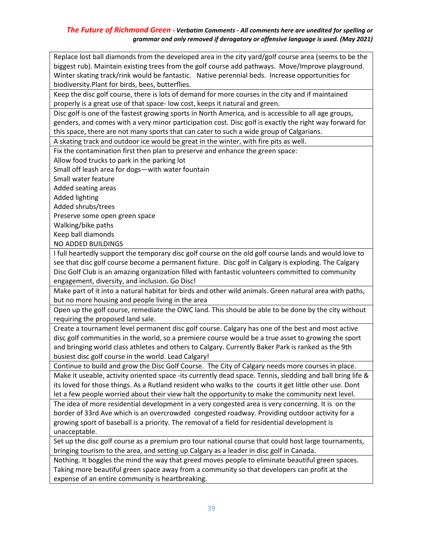Replace lost ball diamonds from the developed area in the city yard/golf course area (seems to be the biggest rub). Maintain existing trees from the golf course add pathways. Move/Improve playground. Winter skating track/rink would be fantastic. Native perennial beds. Increase opportunities for biodiversity.Plant for birds, bees, butterflies.

Keep the disc golf course, there is lots of demand for more courses in the city and if maintained properly is a great use of that space- low cost, keeps it natural and green.

Disc golf is one of the fastest growing sports in North America, and is accessible to all age groups, genders, and comes with a very minor participation cost. Disc golf is exactly the right way forward for this space, there are not many sports that can cater to such a wide group of Calgarians.

A skating track and outdoor ice would be great in the winter, with fire pits as well.

Fix the contamination first then plan to preserve and enhance the green space:

Allow food trucks to park in the parking lot

Small off leash area for dogs—with water fountain

Small water feature

Added seating areas

Added lighting

Added shrubs/trees

Preserve some open green space

Walking/bike paths

Keep ball diamonds

NO ADDED BUILDINGS

I full heartedly support the temporary disc golf course on the old golf course lands and would love to see that disc golf course become a permanent fixture. Disc golf in Calgary is exploding. The Calgary Disc Golf Club is an amazing organization filled with fantastic volunteers committed to community engagement, diversity, and inclusion. Go Disc!

Make part of it into a natural habitat for birds and other wild animals. Green natural area with paths, but no more housing and people living in the area

Open up the golf course, remediate the OWC land. This should be able to be done by the city without requiring the proposed land sale.

Create a tournament level permanent disc golf course. Calgary has one of the best and most active disc golf communities in the world, so a premiere course would be a true asset to growing the sport and bringing world class athletes and others to Calgary. Currently Baker Park is ranked as the 9th busiest disc golf course in the world. Lead Calgary!

Continue to build and grow the Disc Golf Course. The City of Calgary needs more courses in place.

Make it useable, activity oriented space -its currently dead space. Tennis, sledding and ball bring life & its loved for those things. As a Rutland resident who walks to the courts it get little other use. Dont let a few people worried about their view halt the opportunity to make the community next level.

The idea of more residential development in a very congested area is very concerning. It is on the border of 33rd Ave which is an overcrowded congested roadway. Providing outdoor activity for a growing sport of baseball is a priority. The removal of a field for residential development is unacceptable.

Set up the disc golf course as a premium pro tour national course that could host large tournaments, bringing tourism to the area, and setting up Calgary as a leader in disc golf in Canada.

Nothing. It boggles the mind the way that greed moves people to eliminate beautiful green spaces. Taking more beautiful green space away from a community so that developers can profit at the expense of an entire community is heartbreaking.